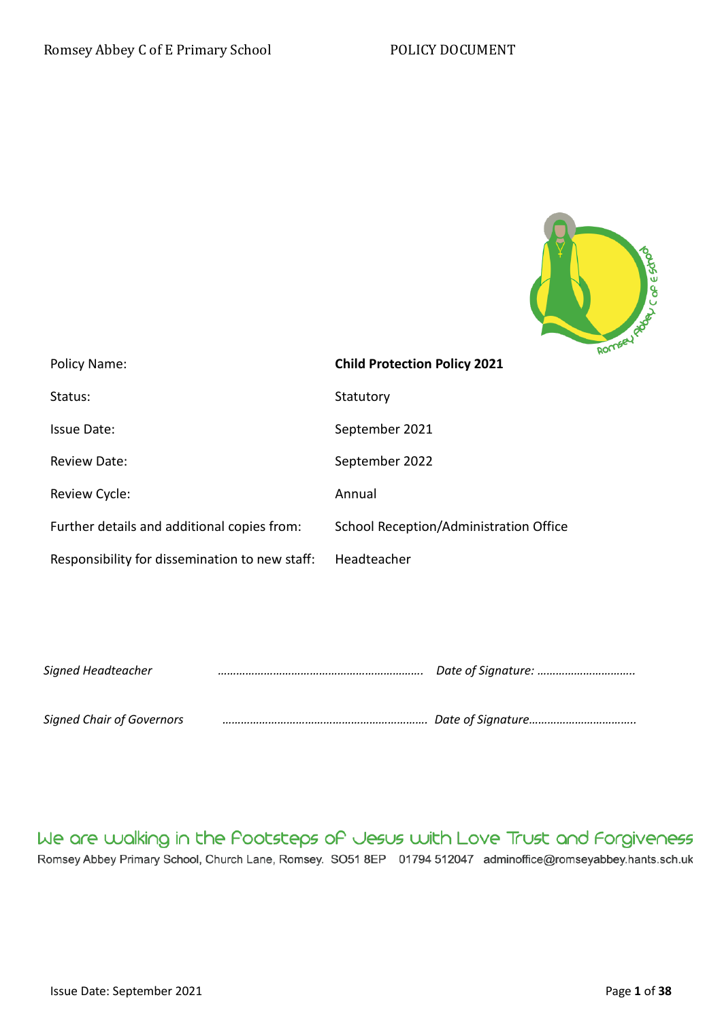

| Policy Name:                                   | <b>Child Protection Policy 2021</b>    |
|------------------------------------------------|----------------------------------------|
| Status:                                        | Statutory                              |
| Issue Date:                                    | September 2021                         |
| <b>Review Date:</b>                            | September 2022                         |
| Review Cycle:                                  | Annual                                 |
| Further details and additional copies from:    | School Reception/Administration Office |
| Responsibility for dissemination to new staff: | Headteacher                            |

| Signed Headteacher               |  |
|----------------------------------|--|
| <b>Signed Chair of Governors</b> |  |

We are walking in the Pootsteps of Jesus with Love Trust and Forgiveness Romsey Abbey Primary School, Church Lane, Romsey. SO51 8EP 01794 512047 adminoffice@romseyabbey.hants.sch.uk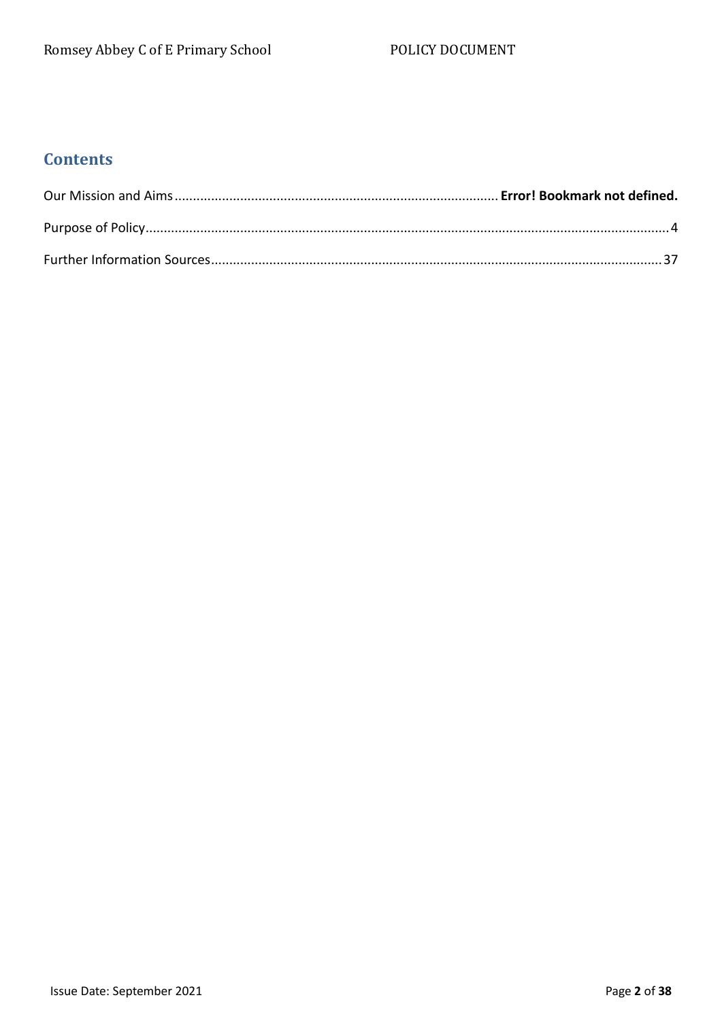# **Contents**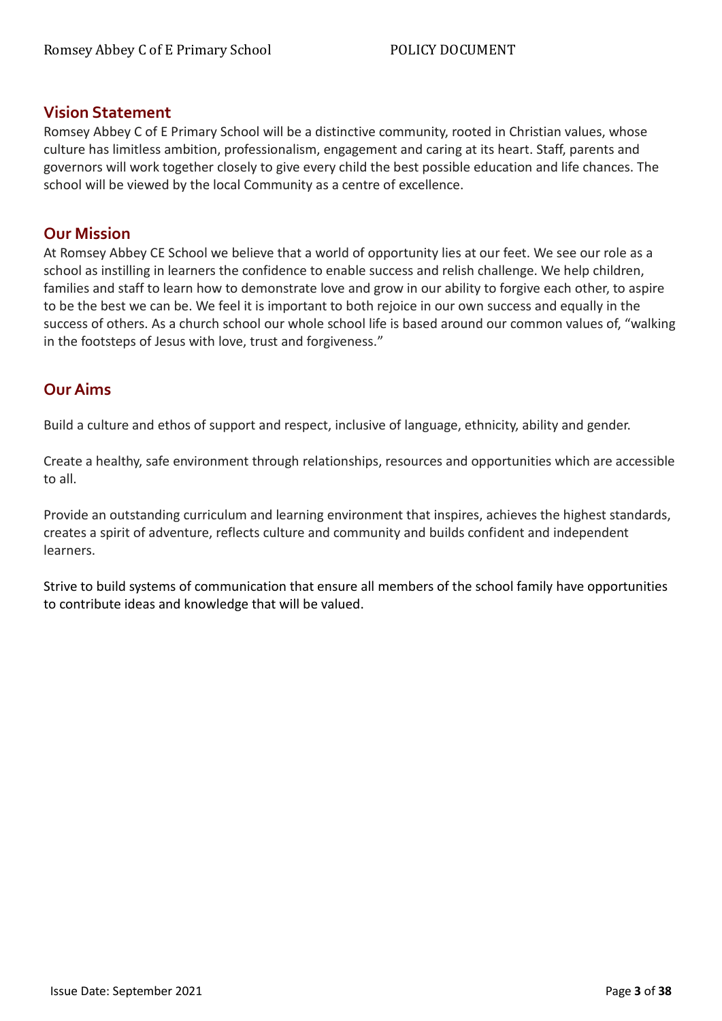## **Vision Statement**

Romsey Abbey C of E Primary School will be a distinctive community, rooted in Christian values, whose culture has limitless ambition, professionalism, engagement and caring at its heart. Staff, parents and governors will work together closely to give every child the best possible education and life chances. The school will be viewed by the local Community as a centre of excellence.

## **Our Mission**

At Romsey Abbey CE School we believe that a world of opportunity lies at our feet. We see our role as a school as instilling in learners the confidence to enable success and relish challenge. We help children, families and staff to learn how to demonstrate love and grow in our ability to forgive each other, to aspire to be the best we can be. We feel it is important to both rejoice in our own success and equally in the success of others. As a church school our whole school life is based around our common values of, "walking in the footsteps of Jesus with love, trust and forgiveness."

## **Our Aims**

Build a culture and ethos of support and respect, inclusive of language, ethnicity, ability and gender.

Create a healthy, safe environment through relationships, resources and opportunities which are accessible to all.

Provide an outstanding curriculum and learning environment that inspires, achieves the highest standards, creates a spirit of adventure, reflects culture and community and builds confident and independent learners.

Strive to build systems of communication that ensure all members of the school family have opportunities to contribute ideas and knowledge that will be valued.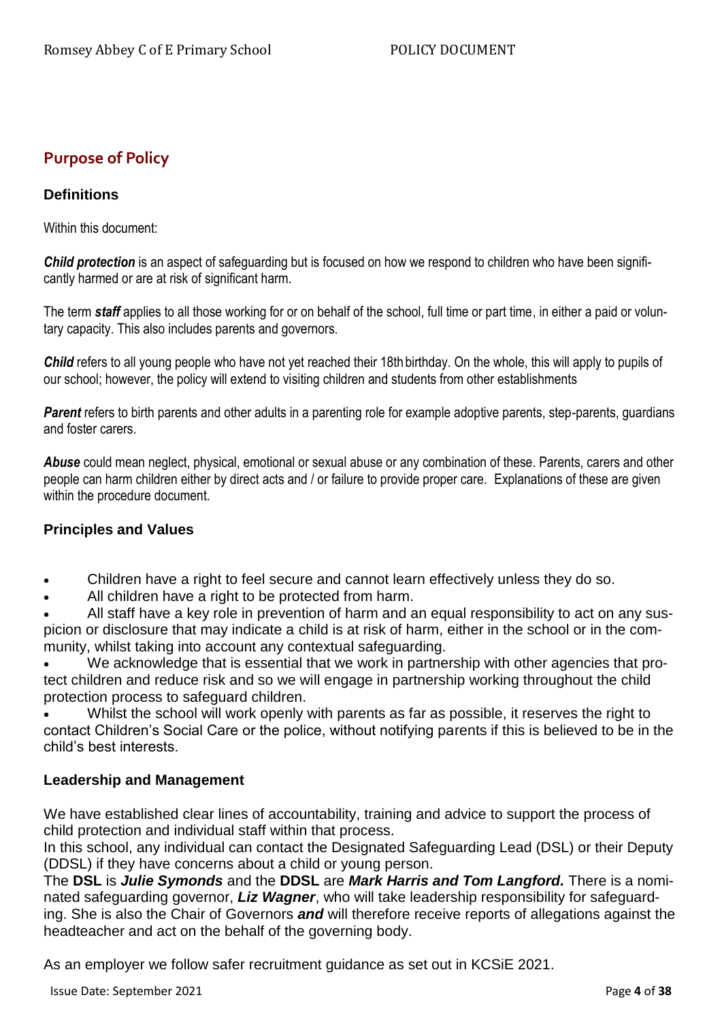## <span id="page-3-0"></span>**Purpose of Policy**

#### **Definitions**

Within this document:

*Child protection* is an aspect of safeguarding but is focused on how we respond to children who have been significantly harmed or are at risk of significant harm.

The term *staff* applies to all those working for or on behalf of the school, full time or part time, in either a paid or voluntary capacity. This also includes parents and governors.

*Child* refers to all young people who have not yet reached their 18th birthday. On the whole, this will apply to pupils of our school; however, the policy will extend to visiting children and students from other establishments

**Parent** refers to birth parents and other adults in a parenting role for example adoptive parents, step-parents, guardians and foster carers.

*Abuse* could mean neglect, physical, emotional or sexual abuse or any combination of these. Parents, carers and other people can harm children either by direct acts and / or failure to provide proper care. Explanations of these are given within the procedure document.

#### **Principles and Values**

- Children have a right to feel secure and cannot learn effectively unless they do so.
- All children have a right to be protected from harm.

• All staff have a key role in prevention of harm and an equal responsibility to act on any suspicion or disclosure that may indicate a child is at risk of harm, either in the school or in the community, whilst taking into account any contextual safeguarding.

We acknowledge that is essential that we work in partnership with other agencies that protect children and reduce risk and so we will engage in partnership working throughout the child protection process to safeguard children.

• Whilst the school will work openly with parents as far as possible, it reserves the right to contact Children's Social Care or the police, without notifying parents if this is believed to be in the child's best interests.

#### **Leadership and Management**

We have established clear lines of accountability, training and advice to support the process of child protection and individual staff within that process.

In this school, any individual can contact the Designated Safeguarding Lead (DSL) or their Deputy (DDSL) if they have concerns about a child or young person.

The **DSL** is *Julie Symonds* and the **DDSL** are *Mark Harris and Tom Langford.* There is a nominated safeguarding governor, *Liz Wagner*, who will take leadership responsibility for safeguarding. She is also the Chair of Governors *and* will therefore receive reports of allegations against the headteacher and act on the behalf of the governing body.

As an employer we follow safer recruitment guidance as set out in KCSiE 2021.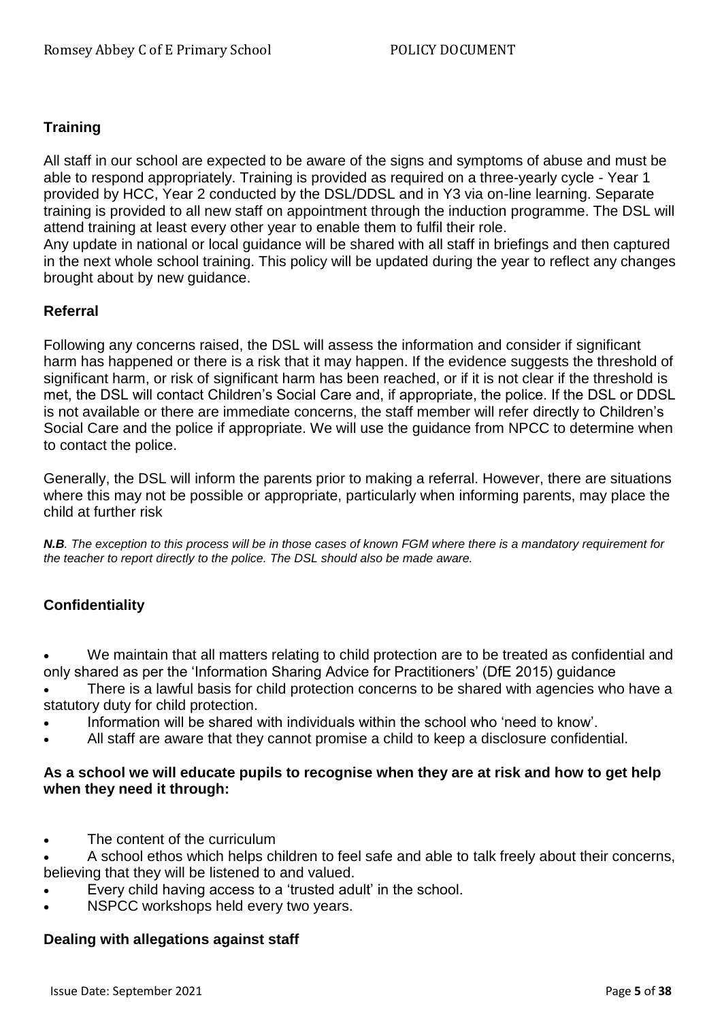## **Training**

All staff in our school are expected to be aware of the signs and symptoms of abuse and must be able to respond appropriately. Training is provided as required on a three-yearly cycle - Year 1 provided by HCC, Year 2 conducted by the DSL/DDSL and in Y3 via on-line learning. Separate training is provided to all new staff on appointment through the induction programme. The DSL will attend training at least every other year to enable them to fulfil their role. Any update in national or local guidance will be shared with all staff in briefings and then captured

in the next whole school training. This policy will be updated during the year to reflect any changes brought about by new guidance.

## **Referral**

Following any concerns raised, the DSL will assess the information and consider if significant harm has happened or there is a risk that it may happen. If the evidence suggests the threshold of significant harm, or risk of significant harm has been reached, or if it is not clear if the threshold is met, the DSL will contact Children's Social Care and, if appropriate, the police. If the DSL or DDSL is not available or there are immediate concerns, the staff member will refer directly to Children's Social Care and the police if appropriate. We will use the guidance from NPCC to determine when to contact the police.

Generally, the DSL will inform the parents prior to making a referral. However, there are situations where this may not be possible or appropriate, particularly when informing parents, may place the child at further risk

*N.B. The exception to this process will be in those cases of known FGM where there is a mandatory requirement for the teacher to report directly to the police. The DSL should also be made aware.*

## **Confidentiality**

• We maintain that all matters relating to child protection are to be treated as confidential and only shared as per the 'Information Sharing Advice for Practitioners' (DfE 2015) guidance

There is a lawful basis for child protection concerns to be shared with agencies who have a statutory duty for child protection.

- Information will be shared with individuals within the school who 'need to know'.
- All staff are aware that they cannot promise a child to keep a disclosure confidential.

## **As a school we will educate pupils to recognise when they are at risk and how to get help when they need it through:**

- The content of the curriculum
- A school ethos which helps children to feel safe and able to talk freely about their concerns, believing that they will be listened to and valued.
- Every child having access to a 'trusted adult' in the school.
- NSPCC workshops held every two years.

#### **Dealing with allegations against staff**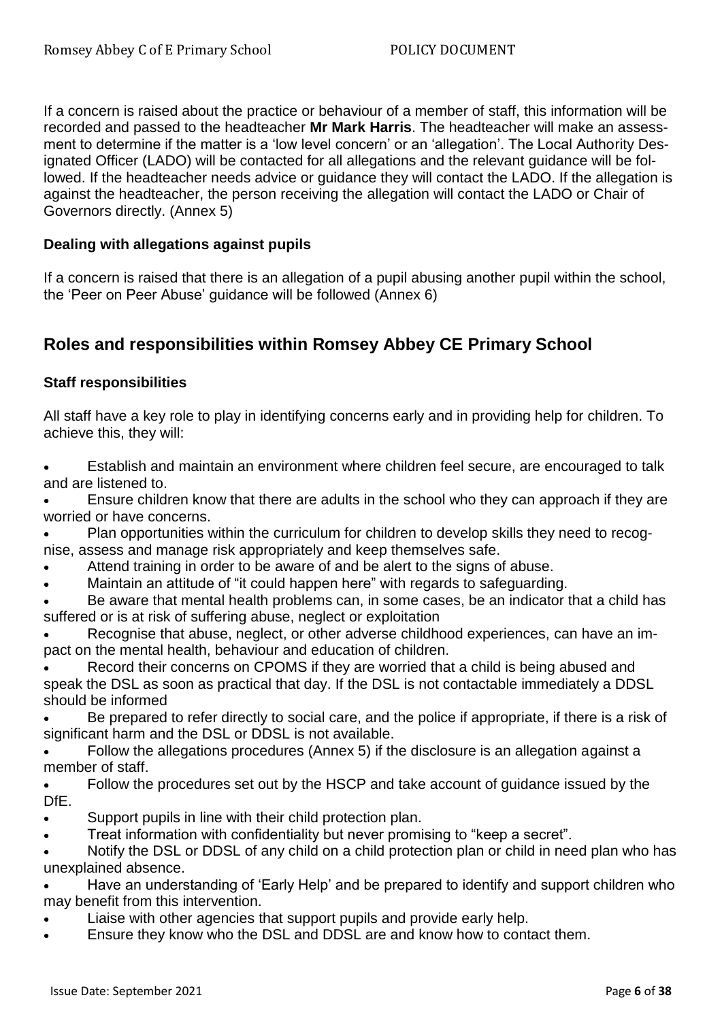If a concern is raised about the practice or behaviour of a member of staff, this information will be recorded and passed to the headteacher **Mr Mark Harris**. The headteacher will make an assessment to determine if the matter is a 'low level concern' or an 'allegation'. The Local Authority Designated Officer (LADO) will be contacted for all allegations and the relevant guidance will be followed. If the headteacher needs advice or guidance they will contact the LADO. If the allegation is against the headteacher, the person receiving the allegation will contact the LADO or Chair of Governors directly. (Annex 5)

## **Dealing with allegations against pupils**

If a concern is raised that there is an allegation of a pupil abusing another pupil within the school, the 'Peer on Peer Abuse' guidance will be followed (Annex 6)

# **Roles and responsibilities within Romsey Abbey CE Primary School**

## **Staff responsibilities**

All staff have a key role to play in identifying concerns early and in providing help for children. To achieve this, they will:

• Establish and maintain an environment where children feel secure, are encouraged to talk and are listened to.

• Ensure children know that there are adults in the school who they can approach if they are worried or have concerns.

• Plan opportunities within the curriculum for children to develop skills they need to recognise, assess and manage risk appropriately and keep themselves safe.

• Attend training in order to be aware of and be alert to the signs of abuse.

• Maintain an attitude of "it could happen here" with regards to safeguarding.

• Be aware that mental health problems can, in some cases, be an indicator that a child has suffered or is at risk of suffering abuse, neglect or exploitation

• Recognise that abuse, neglect, or other adverse childhood experiences, can have an impact on the mental health, behaviour and education of children.

Record their concerns on CPOMS if they are worried that a child is being abused and speak the DSL as soon as practical that day. If the DSL is not contactable immediately a DDSL should be informed

Be prepared to refer directly to social care, and the police if appropriate, if there is a risk of significant harm and the DSL or DDSL is not available.

• Follow the allegations procedures (Annex 5) if the disclosure is an allegation against a member of staff.

• Follow the procedures set out by the HSCP and take account of guidance issued by the DfE.

- Support pupils in line with their child protection plan.
- Treat information with confidentiality but never promising to "keep a secret".

• Notify the DSL or DDSL of any child on a child protection plan or child in need plan who has unexplained absence.

• Have an understanding of 'Early Help' and be prepared to identify and support children who may benefit from this intervention.

- Liaise with other agencies that support pupils and provide early help.
- Ensure they know who the DSL and DDSL are and know how to contact them.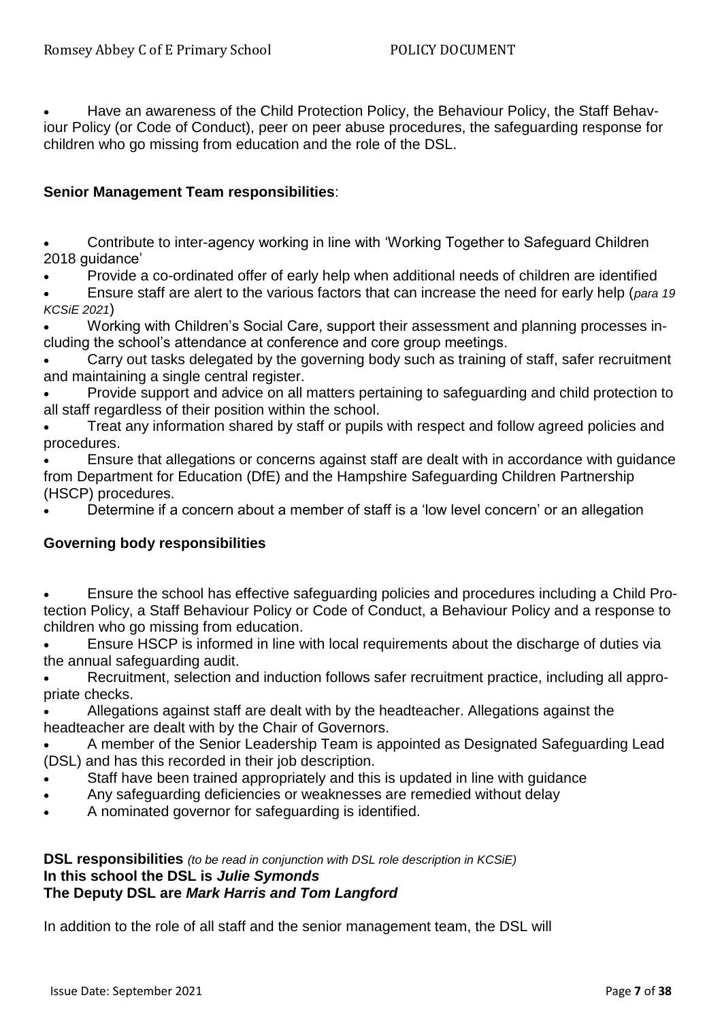• Have an awareness of the Child Protection Policy, the Behaviour Policy, the Staff Behaviour Policy (or Code of Conduct), peer on peer abuse procedures, the safeguarding response for children who go missing from education and the role of the DSL.

## **Senior Management Team responsibilities**:

• Contribute to inter-agency working in line with 'Working Together to Safeguard Children 2018 quidance'

• Provide a co-ordinated offer of early help when additional needs of children are identified

• Ensure staff are alert to the various factors that can increase the need for early help (*para 19 KCSiE 2021*)

• Working with Children's Social Care, support their assessment and planning processes including the school's attendance at conference and core group meetings.

• Carry out tasks delegated by the governing body such as training of staff, safer recruitment and maintaining a single central register.

• Provide support and advice on all matters pertaining to safeguarding and child protection to all staff regardless of their position within the school.

• Treat any information shared by staff or pupils with respect and follow agreed policies and procedures.

• Ensure that allegations or concerns against staff are dealt with in accordance with guidance from Department for Education (DfE) and the Hampshire Safeguarding Children Partnership (HSCP) procedures.

• Determine if a concern about a member of staff is a 'low level concern' or an allegation

## **Governing body responsibilities**

• Ensure the school has effective safeguarding policies and procedures including a Child Protection Policy, a Staff Behaviour Policy or Code of Conduct, a Behaviour Policy and a response to children who go missing from education.

• Ensure HSCP is informed in line with local requirements about the discharge of duties via the annual safeguarding audit.

• Recruitment, selection and induction follows safer recruitment practice, including all appropriate checks.

• Allegations against staff are dealt with by the headteacher. Allegations against the headteacher are dealt with by the Chair of Governors.

• A member of the Senior Leadership Team is appointed as Designated Safeguarding Lead (DSL) and has this recorded in their job description.

- Staff have been trained appropriately and this is updated in line with guidance
- Any safeguarding deficiencies or weaknesses are remedied without delay
- A nominated governor for safeguarding is identified.

#### **DSL responsibilities** *(to be read in conjunction with DSL role description in KCSiE)* **In this school the DSL is** *Julie Symonds* **The Deputy DSL are** *Mark Harris and Tom Langford*

In addition to the role of all staff and the senior management team, the DSL will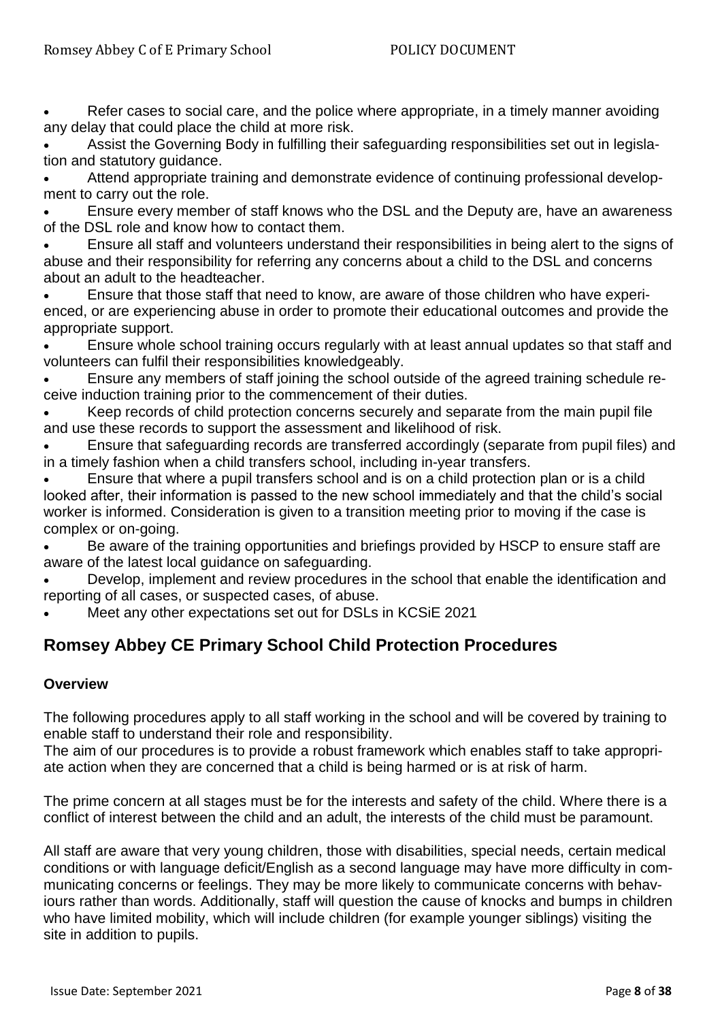Refer cases to social care, and the police where appropriate, in a timely manner avoiding any delay that could place the child at more risk.

• Assist the Governing Body in fulfilling their safeguarding responsibilities set out in legislation and statutory guidance.

• Attend appropriate training and demonstrate evidence of continuing professional development to carry out the role.

• Ensure every member of staff knows who the DSL and the Deputy are, have an awareness of the DSL role and know how to contact them.

• Ensure all staff and volunteers understand their responsibilities in being alert to the signs of abuse and their responsibility for referring any concerns about a child to the DSL and concerns about an adult to the headteacher.

• Ensure that those staff that need to know, are aware of those children who have experienced, or are experiencing abuse in order to promote their educational outcomes and provide the appropriate support.

• Ensure whole school training occurs regularly with at least annual updates so that staff and volunteers can fulfil their responsibilities knowledgeably.

• Ensure any members of staff joining the school outside of the agreed training schedule receive induction training prior to the commencement of their duties.

• Keep records of child protection concerns securely and separate from the main pupil file and use these records to support the assessment and likelihood of risk.

• Ensure that safeguarding records are transferred accordingly (separate from pupil files) and in a timely fashion when a child transfers school, including in-year transfers.

• Ensure that where a pupil transfers school and is on a child protection plan or is a child looked after, their information is passed to the new school immediately and that the child's social worker is informed. Consideration is given to a transition meeting prior to moving if the case is complex or on-going.

• Be aware of the training opportunities and briefings provided by HSCP to ensure staff are aware of the latest local guidance on safeguarding.

• Develop, implement and review procedures in the school that enable the identification and reporting of all cases, or suspected cases, of abuse.

• Meet any other expectations set out for DSLs in KCSiE 2021

# **Romsey Abbey CE Primary School Child Protection Procedures**

## **Overview**

The following procedures apply to all staff working in the school and will be covered by training to enable staff to understand their role and responsibility.

The aim of our procedures is to provide a robust framework which enables staff to take appropriate action when they are concerned that a child is being harmed or is at risk of harm.

The prime concern at all stages must be for the interests and safety of the child. Where there is a conflict of interest between the child and an adult, the interests of the child must be paramount.

All staff are aware that very young children, those with disabilities, special needs, certain medical conditions or with language deficit/English as a second language may have more difficulty in communicating concerns or feelings. They may be more likely to communicate concerns with behaviours rather than words. Additionally, staff will question the cause of knocks and bumps in children who have limited mobility, which will include children (for example younger siblings) visiting the site in addition to pupils.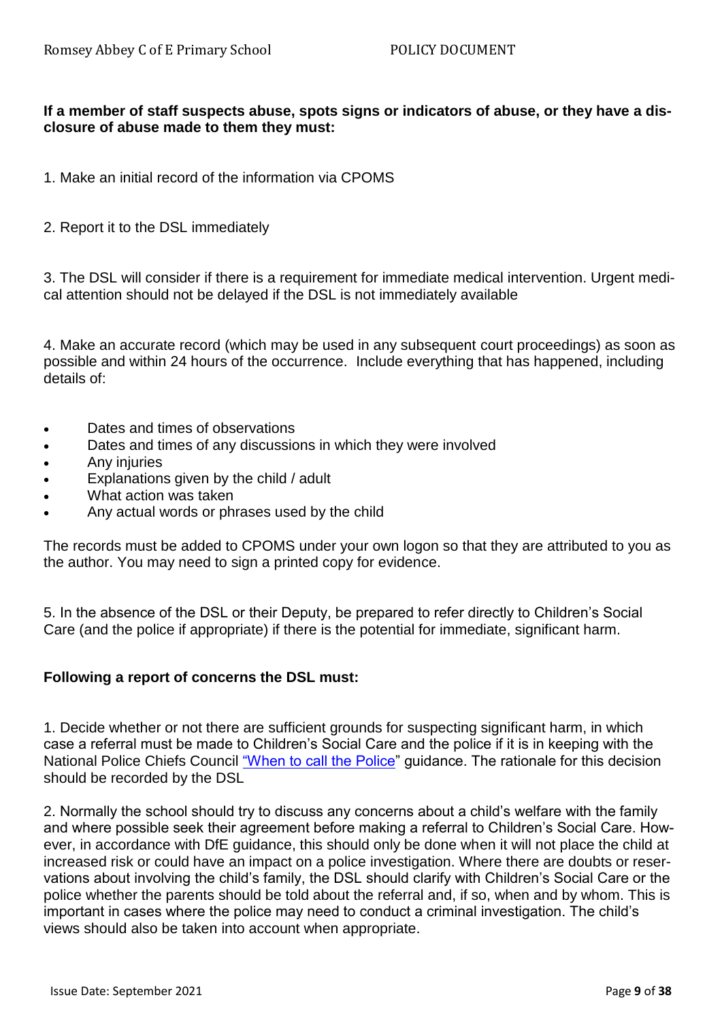## **If a member of staff suspects abuse, spots signs or indicators of abuse, or they have a disclosure of abuse made to them they must:**

1. Make an initial record of the information via CPOMS

2. Report it to the DSL immediately

3. The DSL will consider if there is a requirement for immediate medical intervention. Urgent medical attention should not be delayed if the DSL is not immediately available

4. Make an accurate record (which may be used in any subsequent court proceedings) as soon as possible and within 24 hours of the occurrence. Include everything that has happened, including details of:

- Dates and times of observations
- Dates and times of any discussions in which they were involved
- Any injuries
- Explanations given by the child / adult
- What action was taken
- Any actual words or phrases used by the child

The records must be added to CPOMS under your own logon so that they are attributed to you as the author. You may need to sign a printed copy for evidence.

5. In the absence of the DSL or their Deputy, be prepared to refer directly to Children's Social Care (and the police if appropriate) if there is the potential for immediate, significant harm.

#### **Following a report of concerns the DSL must:**

1. Decide whether or not there are sufficient grounds for suspecting significant harm, in which case a referral must be made to Children's Social Care and the police if it is in keeping with the National Police Chiefs Council ["When to call the Police"](https://www.npcc.police.uk/documents/Children%20and%20Young%20people/When%20to%20call%20the%20police%20guidance%20for%20schools%20and%20colleges.pdf) guidance. The rationale for this decision should be recorded by the DSL

2. Normally the school should try to discuss any concerns about a child's welfare with the family and where possible seek their agreement before making a referral to Children's Social Care. However, in accordance with DfE guidance, this should only be done when it will not place the child at increased risk or could have an impact on a police investigation. Where there are doubts or reservations about involving the child's family, the DSL should clarify with Children's Social Care or the police whether the parents should be told about the referral and, if so, when and by whom. This is important in cases where the police may need to conduct a criminal investigation. The child's views should also be taken into account when appropriate.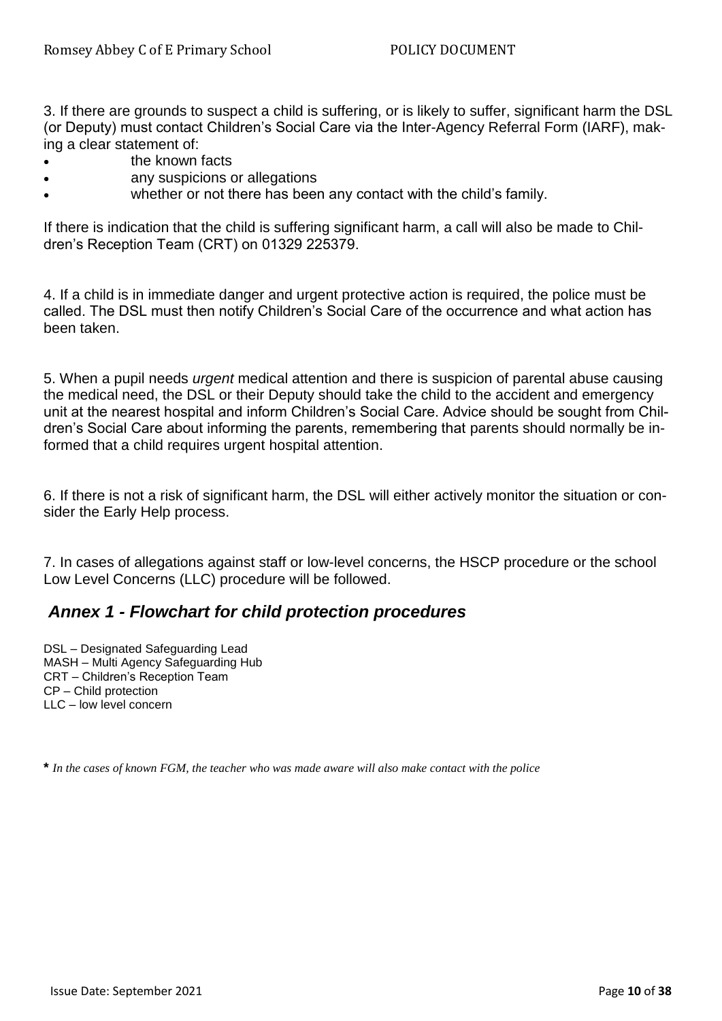3. If there are grounds to suspect a child is suffering, or is likely to suffer, significant harm the DSL (or Deputy) must contact Children's Social Care via the Inter-Agency Referral Form (IARF), making a clear statement of:

- the known facts
- any suspicions or allegations
- whether or not there has been any contact with the child's family.

If there is indication that the child is suffering significant harm, a call will also be made to Children's Reception Team (CRT) on 01329 225379.

4. If a child is in immediate danger and urgent protective action is required, the police must be called. The DSL must then notify Children's Social Care of the occurrence and what action has been taken.

5. When a pupil needs *urgent* medical attention and there is suspicion of parental abuse causing the medical need, the DSL or their Deputy should take the child to the accident and emergency unit at the nearest hospital and inform Children's Social Care. Advice should be sought from Children's Social Care about informing the parents, remembering that parents should normally be informed that a child requires urgent hospital attention.

6. If there is not a risk of significant harm, the DSL will either actively monitor the situation or consider the Early Help process.

7. In cases of allegations against staff or low-level concerns, the HSCP procedure or the school Low Level Concerns (LLC) procedure will be followed.

# *Annex 1 - Flowchart for child protection procedures*

DSL – Designated Safeguarding Lead MASH – Multi Agency Safeguarding Hub CRT – Children's Reception Team CP – Child protection LLC – low level concern

**\*** *In the cases of known FGM, the teacher who was made aware will also make contact with the police*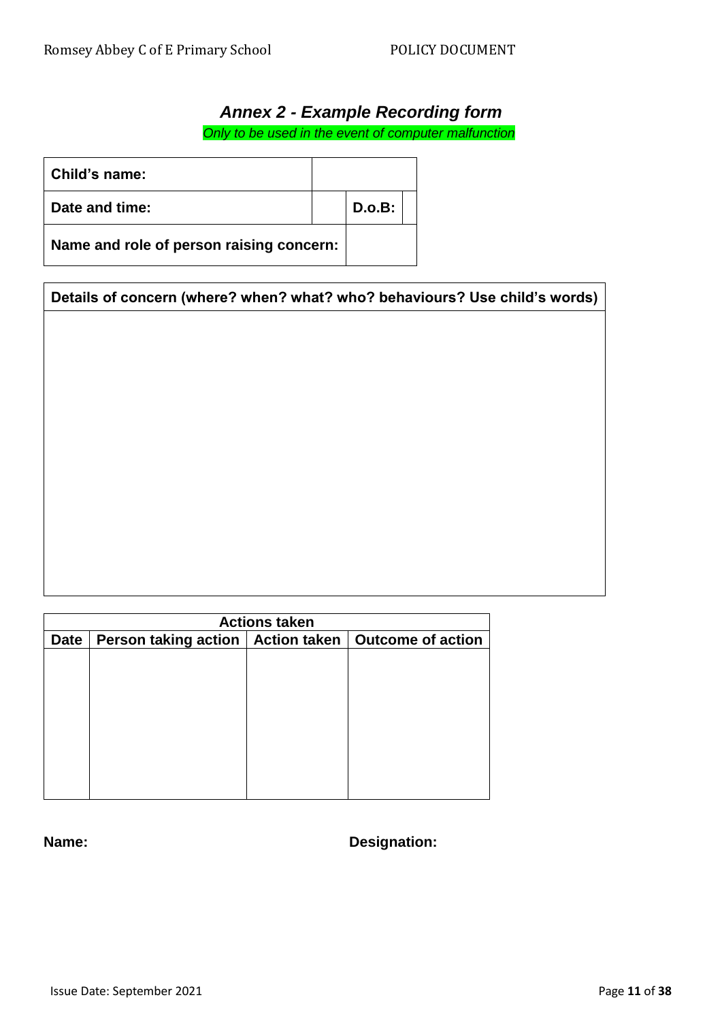# *Annex 2 - Example Recording form*

*Only to be used in the event of computer malfunction*

| Child's name:                            |        |  |
|------------------------------------------|--------|--|
| Date and time:                           | D.o.B: |  |
| Name and role of person raising concern: |        |  |

**Details of concern (where? when? what? who? behaviours? Use child's words)**

|             | <b>Actions taken</b>                |  |                          |
|-------------|-------------------------------------|--|--------------------------|
| <b>Date</b> | Person taking action   Action taken |  | <b>Outcome of action</b> |
|             |                                     |  |                          |
|             |                                     |  |                          |
|             |                                     |  |                          |
|             |                                     |  |                          |
|             |                                     |  |                          |
|             |                                     |  |                          |
|             |                                     |  |                          |
|             |                                     |  |                          |
|             |                                     |  |                          |

**Name: Designation:**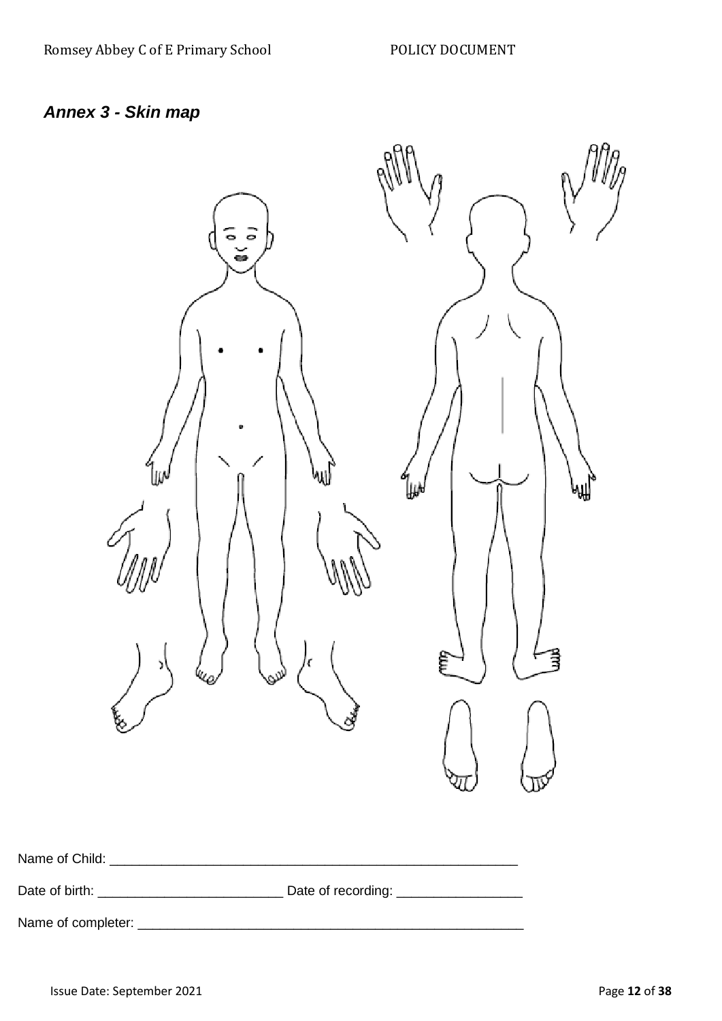# *Annex 3 - Skin map*

|                    | ទ្ធ<br>ទំ<br>₩<br>Ш<br>ไห<br>È<br>w<br>Чe                        | $\sqrt{\frac{\hbar}{\hbar}}$<br>₩<br>ã |
|--------------------|------------------------------------------------------------------|----------------------------------------|
|                    |                                                                  |                                        |
|                    |                                                                  |                                        |
|                    |                                                                  |                                        |
| Name of completer: | <u> 1980 - Jan James James Barnett, fransk politik (d. 1980)</u> |                                        |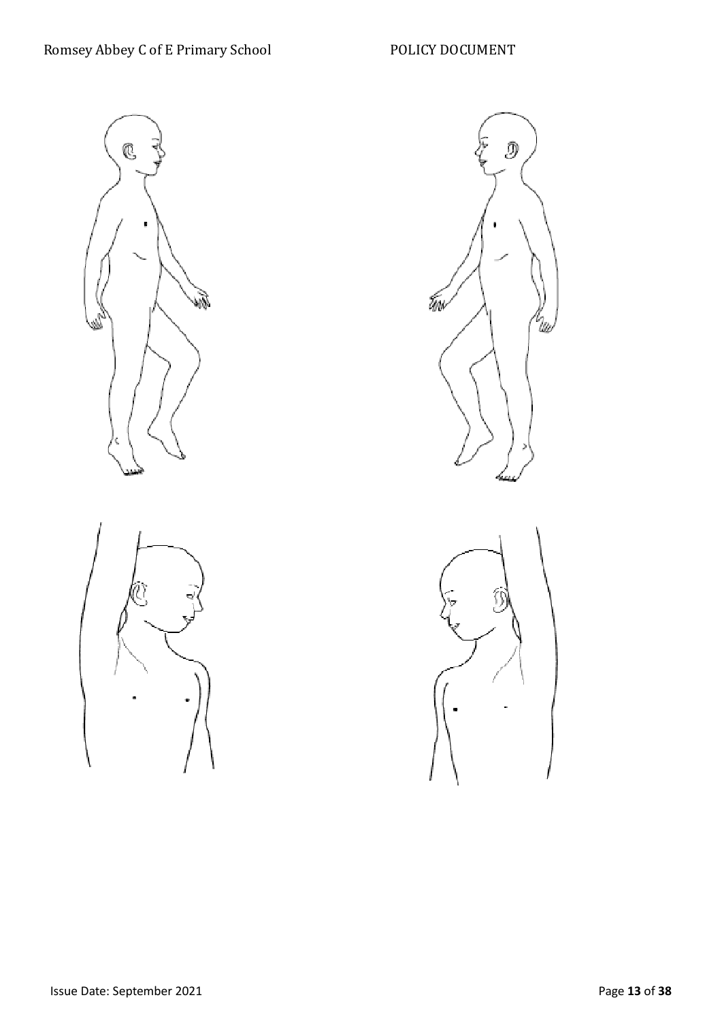# Romsey Abbey C of E Primary School POLICY DOCUMENT







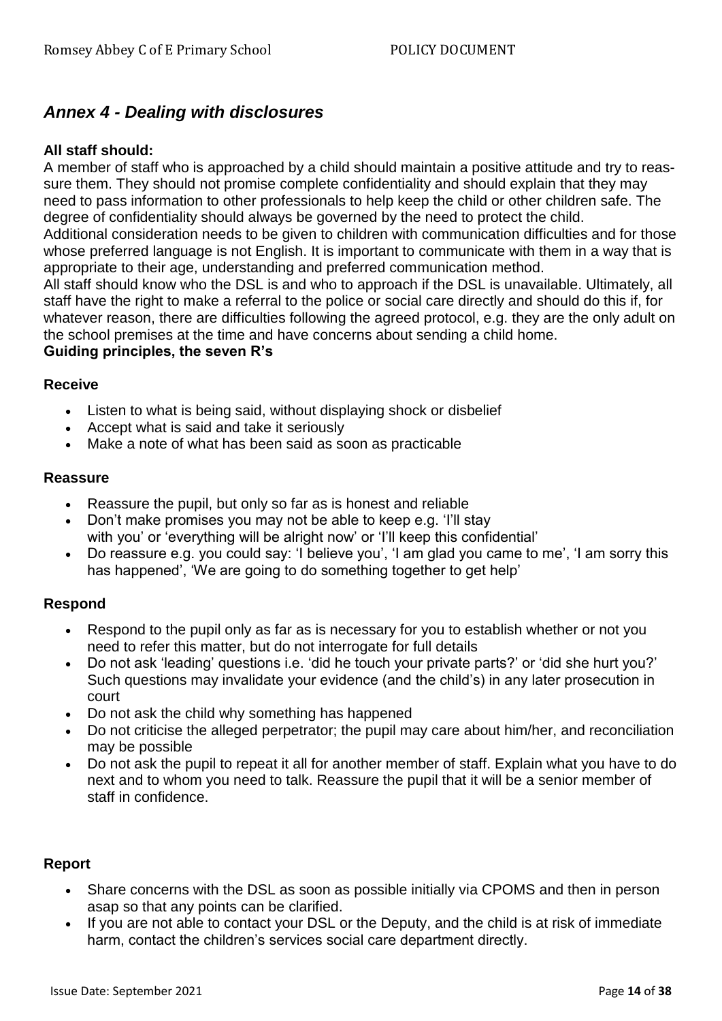# *Annex 4 - Dealing with disclosures*

#### **All staff should:**

A member of staff who is approached by a child should maintain a positive attitude and try to reassure them. They should not promise complete confidentiality and should explain that they may need to pass information to other professionals to help keep the child or other children safe. The degree of confidentiality should always be governed by the need to protect the child.

Additional consideration needs to be given to children with communication difficulties and for those whose preferred language is not English. It is important to communicate with them in a way that is appropriate to their age, understanding and preferred communication method.

All staff should know who the DSL is and who to approach if the DSL is unavailable. Ultimately, all staff have the right to make a referral to the police or social care directly and should do this if, for whatever reason, there are difficulties following the agreed protocol, e.g. they are the only adult on the school premises at the time and have concerns about sending a child home. **Guiding principles, the seven R's**

#### **Receive**

- Listen to what is being said, without displaying shock or disbelief
- Accept what is said and take it seriously
- Make a note of what has been said as soon as practicable

#### **Reassure**

- Reassure the pupil, but only so far as is honest and reliable
- Don't make promises you may not be able to keep e.g. 'I'll stay with you' or 'everything will be alright now' or 'I'll keep this confidential'
- Do reassure e.g. you could say: 'I believe you', 'I am glad you came to me', 'I am sorry this has happened', 'We are going to do something together to get help'

#### **Respond**

- Respond to the pupil only as far as is necessary for you to establish whether or not you need to refer this matter, but do not interrogate for full details
- Do not ask 'leading' questions i.e. 'did he touch your private parts?' or 'did she hurt you?' Such questions may invalidate your evidence (and the child's) in any later prosecution in court
- Do not ask the child why something has happened
- Do not criticise the alleged perpetrator; the pupil may care about him/her, and reconciliation may be possible
- Do not ask the pupil to repeat it all for another member of staff. Explain what you have to do next and to whom you need to talk. Reassure the pupil that it will be a senior member of staff in confidence.

#### **Report**

- Share concerns with the DSL as soon as possible initially via CPOMS and then in person asap so that any points can be clarified.
- If you are not able to contact your DSL or the Deputy, and the child is at risk of immediate harm, contact the children's services social care department directly.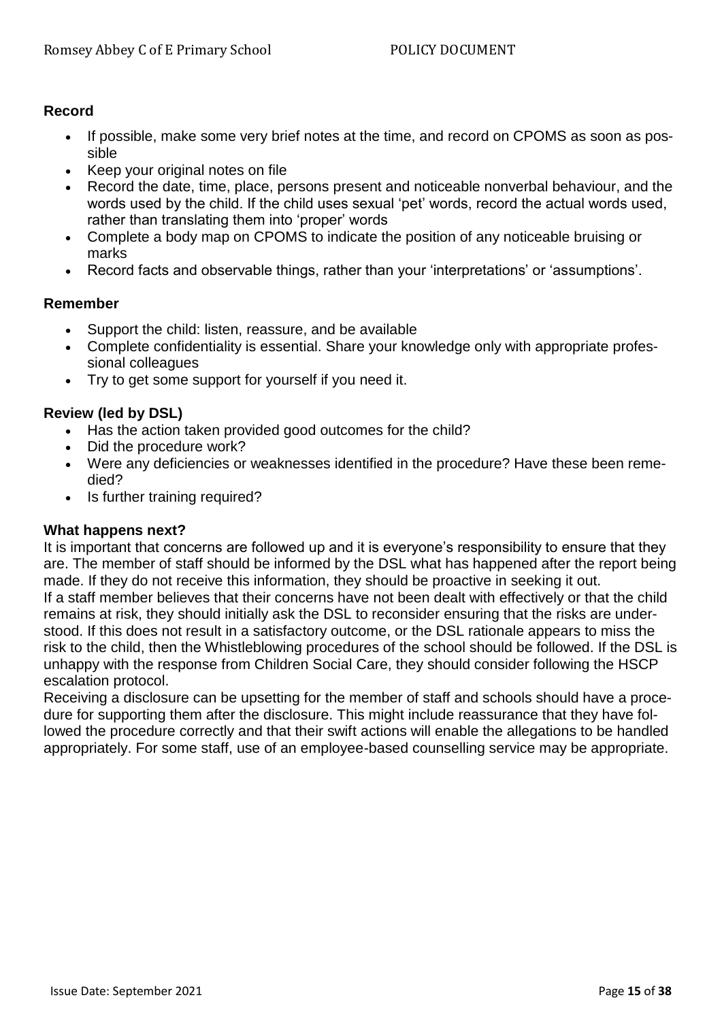## **Record**

- If possible, make some very brief notes at the time, and record on CPOMS as soon as possible
- Keep your original notes on file
- Record the date, time, place, persons present and noticeable nonverbal behaviour, and the words used by the child. If the child uses sexual 'pet' words, record the actual words used, rather than translating them into 'proper' words
- Complete a body map on CPOMS to indicate the position of any noticeable bruising or marks
- Record facts and observable things, rather than your 'interpretations' or 'assumptions'.

## **Remember**

- Support the child: listen, reassure, and be available
- Complete confidentiality is essential. Share your knowledge only with appropriate professional colleagues
- Try to get some support for yourself if you need it.

## **Review (led by DSL)**

- Has the action taken provided good outcomes for the child?
- Did the procedure work?
- Were any deficiencies or weaknesses identified in the procedure? Have these been remedied?
- Is further training required?

## **What happens next?**

It is important that concerns are followed up and it is everyone's responsibility to ensure that they are. The member of staff should be informed by the DSL what has happened after the report being made. If they do not receive this information, they should be proactive in seeking it out. If a staff member believes that their concerns have not been dealt with effectively or that the child remains at risk, they should initially ask the DSL to reconsider ensuring that the risks are understood. If this does not result in a satisfactory outcome, or the DSL rationale appears to miss the risk to the child, then the Whistleblowing procedures of the school should be followed. If the DSL is unhappy with the response from Children Social Care, they should consider following the HSCP escalation protocol.

Receiving a disclosure can be upsetting for the member of staff and schools should have a procedure for supporting them after the disclosure. This might include reassurance that they have followed the procedure correctly and that their swift actions will enable the allegations to be handled appropriately. For some staff, use of an employee-based counselling service may be appropriate.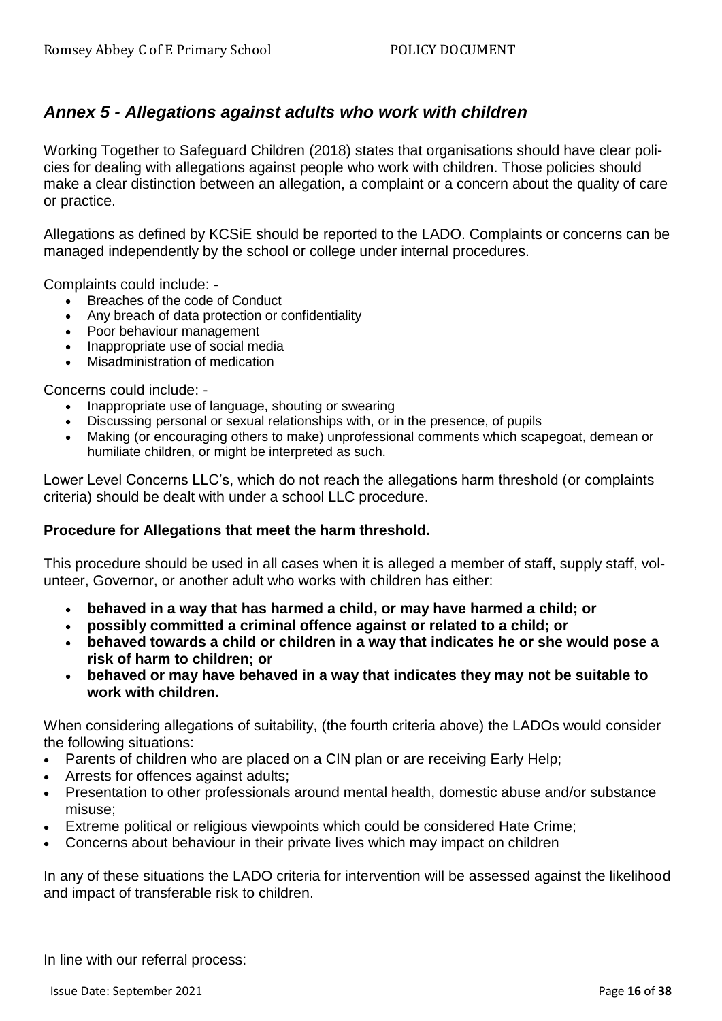# *Annex 5 - Allegations against adults who work with children*

Working Together to Safeguard Children (2018) states that organisations should have clear policies for dealing with allegations against people who work with children. Those policies should make a clear distinction between an allegation, a complaint or a concern about the quality of care or practice.

Allegations as defined by KCSiE should be reported to the LADO. Complaints or concerns can be managed independently by the school or college under internal procedures.

Complaints could include: -

- Breaches of the code of Conduct
- Any breach of data protection or confidentiality
- Poor behaviour management
- Inappropriate use of social media
- Misadministration of medication

Concerns could include: -

- Inappropriate use of language, shouting or swearing
- Discussing personal or sexual relationships with, or in the presence, of pupils
- Making (or encouraging others to make) unprofessional comments which scapegoat, demean or humiliate children, or might be interpreted as such.

Lower Level Concerns LLC's, which do not reach the allegations harm threshold (or complaints criteria) should be dealt with under a school LLC procedure.

#### **Procedure for Allegations that meet the harm threshold.**

This procedure should be used in all cases when it is alleged a member of staff, supply staff, volunteer, Governor, or another adult who works with children has either:

- **behaved in a way that has harmed a child, or may have harmed a child; or**
- **possibly committed a criminal offence against or related to a child; or**
- **behaved towards a child or children in a way that indicates he or she would pose a risk of harm to children; or**
- **behaved or may have behaved in a way that indicates they may not be suitable to work with children.**

When considering allegations of suitability, (the fourth criteria above) the LADOs would consider the following situations:

- Parents of children who are placed on a CIN plan or are receiving Early Help;
- Arrests for offences against adults;
- Presentation to other professionals around mental health, domestic abuse and/or substance misuse;
- Extreme political or religious viewpoints which could be considered Hate Crime;
- Concerns about behaviour in their private lives which may impact on children

In any of these situations the LADO criteria for intervention will be assessed against the likelihood and impact of transferable risk to children.

In line with our referral process: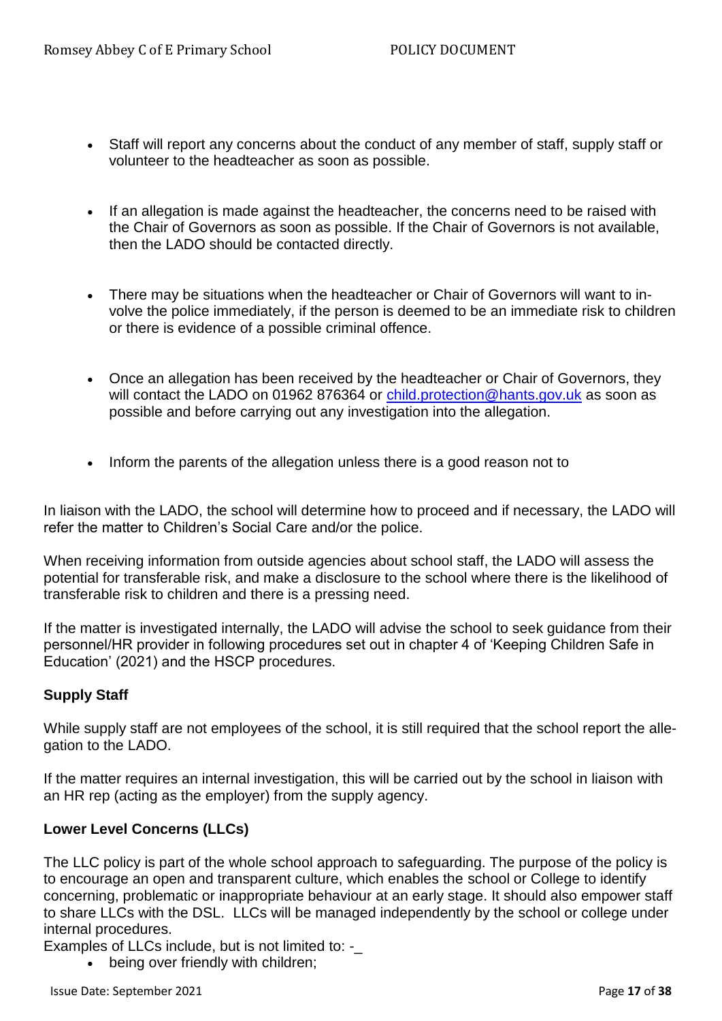- Staff will report any concerns about the conduct of any member of staff, supply staff or volunteer to the headteacher as soon as possible.
- If an allegation is made against the headteacher, the concerns need to be raised with the Chair of Governors as soon as possible. If the Chair of Governors is not available, then the LADO should be contacted directly.
- There may be situations when the headteacher or Chair of Governors will want to involve the police immediately, if the person is deemed to be an immediate risk to children or there is evidence of a possible criminal offence.
- Once an allegation has been received by the headteacher or Chair of Governors, they will contact the LADO on 01962 876364 or [child.protection@hants.gov.uk](mailto:child.protection@hants.gov.uk) as soon as possible and before carrying out any investigation into the allegation.
- Inform the parents of the allegation unless there is a good reason not to

In liaison with the LADO, the school will determine how to proceed and if necessary, the LADO will refer the matter to Children's Social Care and/or the police.

When receiving information from outside agencies about school staff, the LADO will assess the potential for transferable risk, and make a disclosure to the school where there is the likelihood of transferable risk to children and there is a pressing need.

If the matter is investigated internally, the LADO will advise the school to seek guidance from their personnel/HR provider in following procedures set out in chapter 4 of 'Keeping Children Safe in Education' (2021) and the HSCP procedures.

## **Supply Staff**

While supply staff are not employees of the school, it is still required that the school report the allegation to the LADO.

If the matter requires an internal investigation, this will be carried out by the school in liaison with an HR rep (acting as the employer) from the supply agency.

## **Lower Level Concerns (LLCs)**

The LLC policy is part of the whole school approach to safeguarding. The purpose of the policy is to encourage an open and transparent culture, which enables the school or College to identify concerning, problematic or inappropriate behaviour at an early stage. It should also empower staff to share LLCs with the DSL. LLCs will be managed independently by the school or college under internal procedures.

Examples of LLCs include, but is not limited to: -

• being over friendly with children;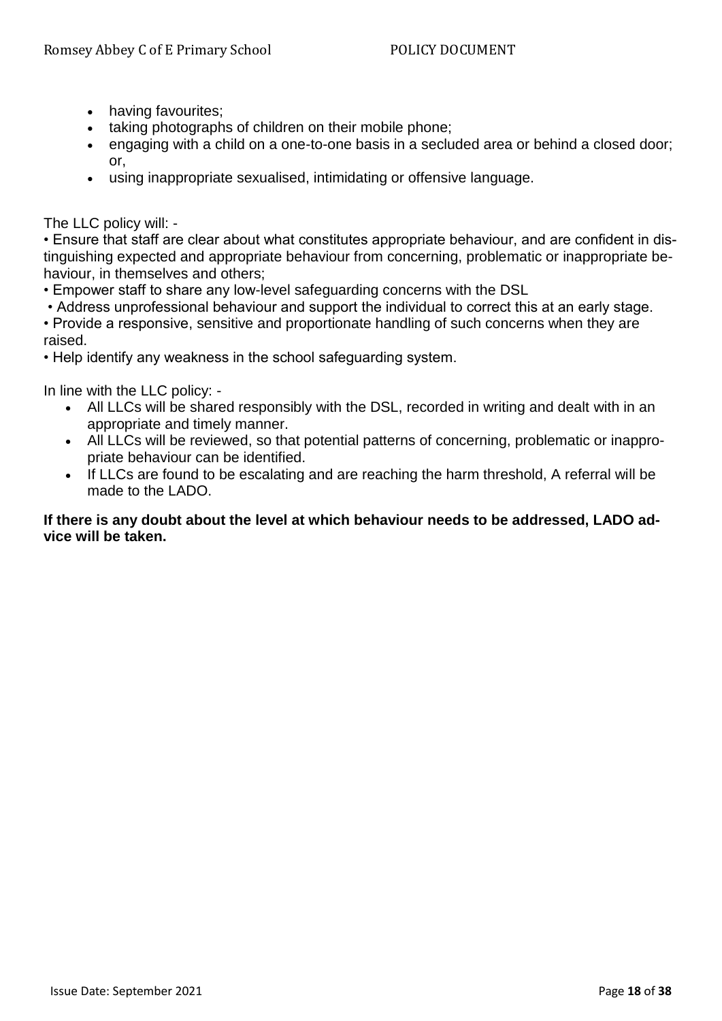- having favourites:
- taking photographs of children on their mobile phone;
- engaging with a child on a one-to-one basis in a secluded area or behind a closed door; or,
- using inappropriate sexualised, intimidating or offensive language.

The LLC policy will: -

• Ensure that staff are clear about what constitutes appropriate behaviour, and are confident in distinguishing expected and appropriate behaviour from concerning, problematic or inappropriate behaviour, in themselves and others;

• Empower staff to share any low-level safeguarding concerns with the DSL

• Address unprofessional behaviour and support the individual to correct this at an early stage.

• Provide a responsive, sensitive and proportionate handling of such concerns when they are raised.

• Help identify any weakness in the school safeguarding system.

In line with the LLC policy: -

- All LLCs will be shared responsibly with the DSL, recorded in writing and dealt with in an appropriate and timely manner.
- All LLCs will be reviewed, so that potential patterns of concerning, problematic or inappropriate behaviour can be identified.
- If LLCs are found to be escalating and are reaching the harm threshold, A referral will be made to the LADO.

## **If there is any doubt about the level at which behaviour needs to be addressed, LADO advice will be taken.**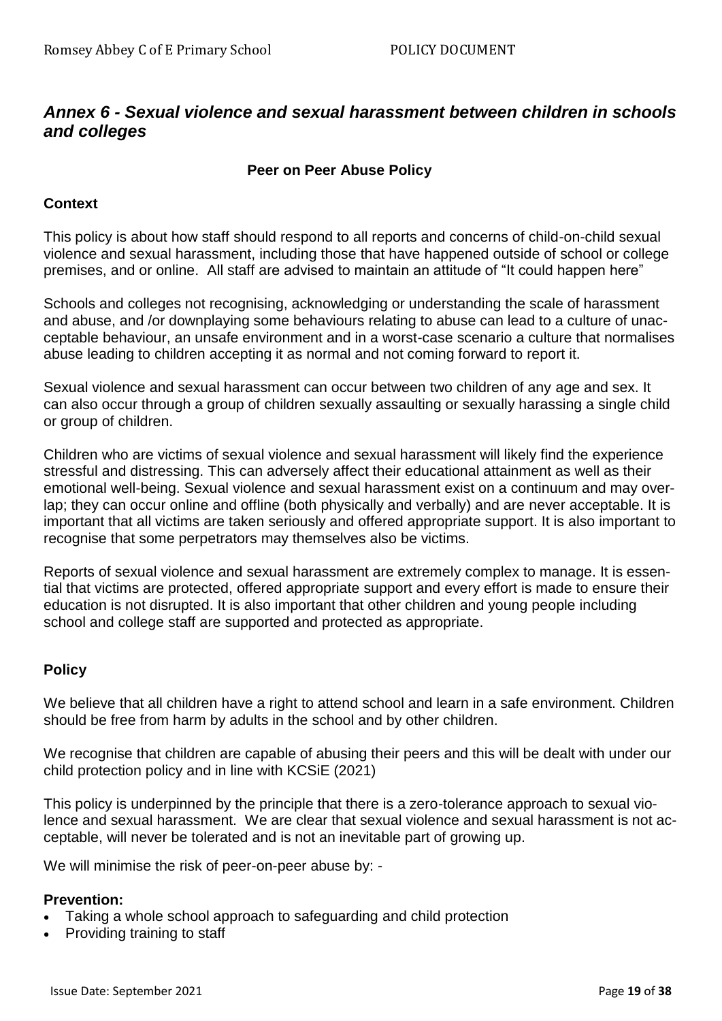## *Annex 6 - Sexual violence and sexual harassment between children in schools and colleges*

#### **Peer on Peer Abuse Policy**

## **Context**

This policy is about how staff should respond to all reports and concerns of child-on-child sexual violence and sexual harassment, including those that have happened outside of school or college premises, and or online. All staff are advised to maintain an attitude of "It could happen here"

Schools and colleges not recognising, acknowledging or understanding the scale of harassment and abuse, and /or downplaying some behaviours relating to abuse can lead to a culture of unacceptable behaviour, an unsafe environment and in a worst-case scenario a culture that normalises abuse leading to children accepting it as normal and not coming forward to report it.

Sexual violence and sexual harassment can occur between two children of any age and sex. It can also occur through a group of children sexually assaulting or sexually harassing a single child or group of children.

Children who are victims of sexual violence and sexual harassment will likely find the experience stressful and distressing. This can adversely affect their educational attainment as well as their emotional well-being. Sexual violence and sexual harassment exist on a continuum and may overlap; they can occur online and offline (both physically and verbally) and are never acceptable. It is important that all victims are taken seriously and offered appropriate support. It is also important to recognise that some perpetrators may themselves also be victims.

Reports of sexual violence and sexual harassment are extremely complex to manage. It is essential that victims are protected, offered appropriate support and every effort is made to ensure their education is not disrupted. It is also important that other children and young people including school and college staff are supported and protected as appropriate.

#### **Policy**

We believe that all children have a right to attend school and learn in a safe environment. Children should be free from harm by adults in the school and by other children.

We recognise that children are capable of abusing their peers and this will be dealt with under our child protection policy and in line with KCSiE (2021)

This policy is underpinned by the principle that there is a zero-tolerance approach to sexual violence and sexual harassment. We are clear that sexual violence and sexual harassment is not acceptable, will never be tolerated and is not an inevitable part of growing up.

We will minimise the risk of peer-on-peer abuse by: -

#### **Prevention:**

- Taking a whole school approach to safeguarding and child protection
- Providing training to staff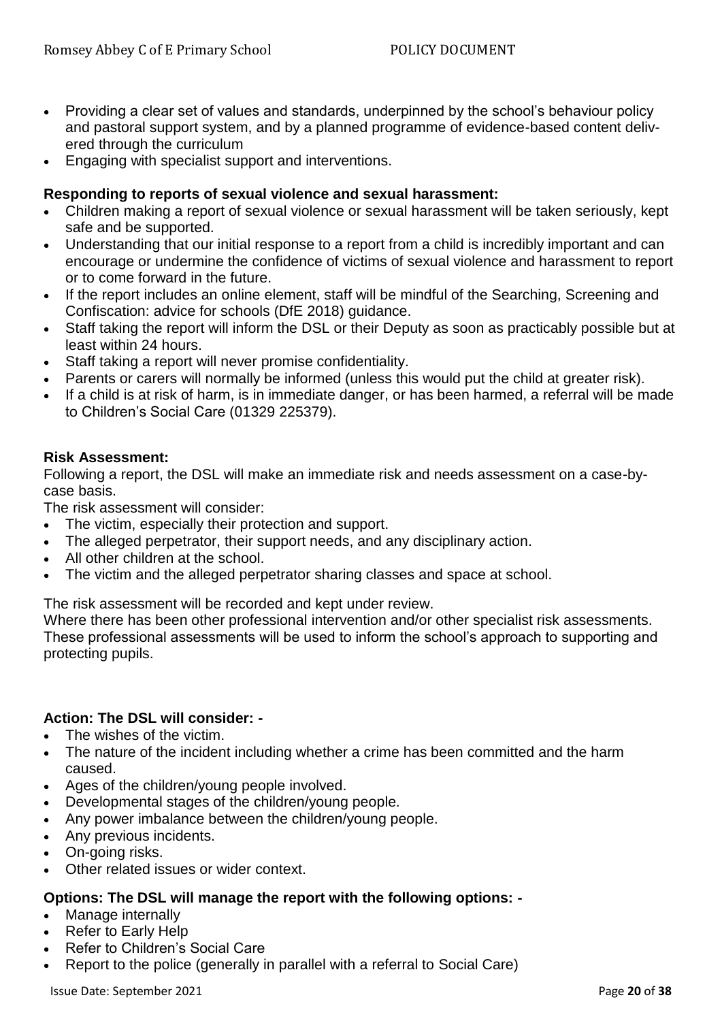- Providing a clear set of values and standards, underpinned by the school's behaviour policy and pastoral support system, and by a planned programme of evidence-based content delivered through the curriculum
- Engaging with specialist support and interventions.

## **Responding to reports of sexual violence and sexual harassment:**

- Children making a report of sexual violence or sexual harassment will be taken seriously, kept safe and be supported.
- Understanding that our initial response to a report from a child is incredibly important and can encourage or undermine the confidence of victims of sexual violence and harassment to report or to come forward in the future.
- If the report includes an online element, staff will be mindful of the Searching, Screening and Confiscation: advice for schools (DfE 2018) guidance.
- Staff taking the report will inform the DSL or their Deputy as soon as practicably possible but at least within 24 hours.
- Staff taking a report will never promise confidentiality.
- Parents or carers will normally be informed (unless this would put the child at greater risk).
- If a child is at risk of harm, is in immediate danger, or has been harmed, a referral will be made to Children's Social Care (01329 225379).

## **Risk Assessment:**

Following a report, the DSL will make an immediate risk and needs assessment on a case-bycase basis.

The risk assessment will consider:

- The victim, especially their protection and support.
- The alleged perpetrator, their support needs, and any disciplinary action.
- All other children at the school.
- The victim and the alleged perpetrator sharing classes and space at school.

The risk assessment will be recorded and kept under review.

Where there has been other professional intervention and/or other specialist risk assessments. These professional assessments will be used to inform the school's approach to supporting and protecting pupils.

## **Action: The DSL will consider: -**

- The wishes of the victim.
- The nature of the incident including whether a crime has been committed and the harm caused.
- Ages of the children/young people involved.
- Developmental stages of the children/young people.
- Any power imbalance between the children/young people.
- Any previous incidents.
- On-going risks.
- Other related issues or wider context.

#### **Options: The DSL will manage the report with the following options: -**

- Manage internally
- Refer to Early Help
- Refer to Children's Social Care
- Report to the police (generally in parallel with a referral to Social Care)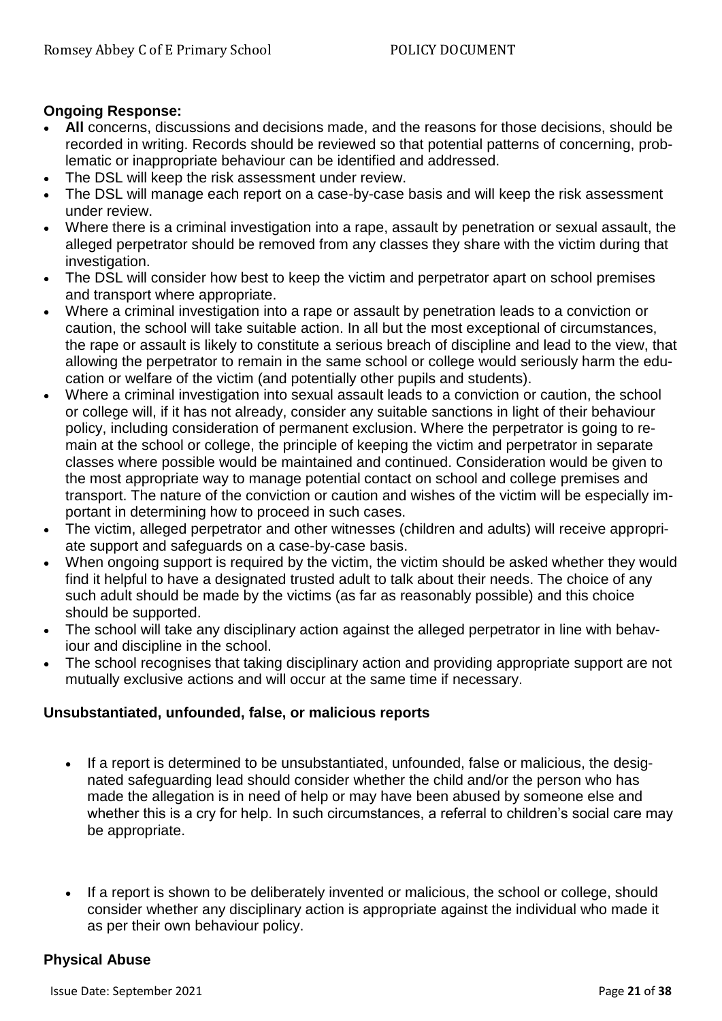## **Ongoing Response:**

- All concerns, discussions and decisions made, and the reasons for those decisions, should be recorded in writing. Records should be reviewed so that potential patterns of concerning, problematic or inappropriate behaviour can be identified and addressed.
- The DSL will keep the risk assessment under review.
- The DSL will manage each report on a case-by-case basis and will keep the risk assessment under review.
- Where there is a criminal investigation into a rape, assault by penetration or sexual assault, the alleged perpetrator should be removed from any classes they share with the victim during that investigation.
- The DSL will consider how best to keep the victim and perpetrator apart on school premises and transport where appropriate.
- Where a criminal investigation into a rape or assault by penetration leads to a conviction or caution, the school will take suitable action. In all but the most exceptional of circumstances, the rape or assault is likely to constitute a serious breach of discipline and lead to the view, that allowing the perpetrator to remain in the same school or college would seriously harm the education or welfare of the victim (and potentially other pupils and students).
- Where a criminal investigation into sexual assault leads to a conviction or caution, the school or college will, if it has not already, consider any suitable sanctions in light of their behaviour policy, including consideration of permanent exclusion. Where the perpetrator is going to remain at the school or college, the principle of keeping the victim and perpetrator in separate classes where possible would be maintained and continued. Consideration would be given to the most appropriate way to manage potential contact on school and college premises and transport. The nature of the conviction or caution and wishes of the victim will be especially important in determining how to proceed in such cases.
- The victim, alleged perpetrator and other witnesses (children and adults) will receive appropriate support and safeguards on a case-by-case basis.
- When ongoing support is required by the victim, the victim should be asked whether they would find it helpful to have a designated trusted adult to talk about their needs. The choice of any such adult should be made by the victims (as far as reasonably possible) and this choice should be supported.
- The school will take any disciplinary action against the alleged perpetrator in line with behaviour and discipline in the school.
- The school recognises that taking disciplinary action and providing appropriate support are not mutually exclusive actions and will occur at the same time if necessary.

## **Unsubstantiated, unfounded, false, or malicious reports**

- If a report is determined to be unsubstantiated, unfounded, false or malicious, the designated safeguarding lead should consider whether the child and/or the person who has made the allegation is in need of help or may have been abused by someone else and whether this is a cry for help. In such circumstances, a referral to children's social care may be appropriate.
- If a report is shown to be deliberately invented or malicious, the school or college, should consider whether any disciplinary action is appropriate against the individual who made it as per their own behaviour policy.

## **Physical Abuse**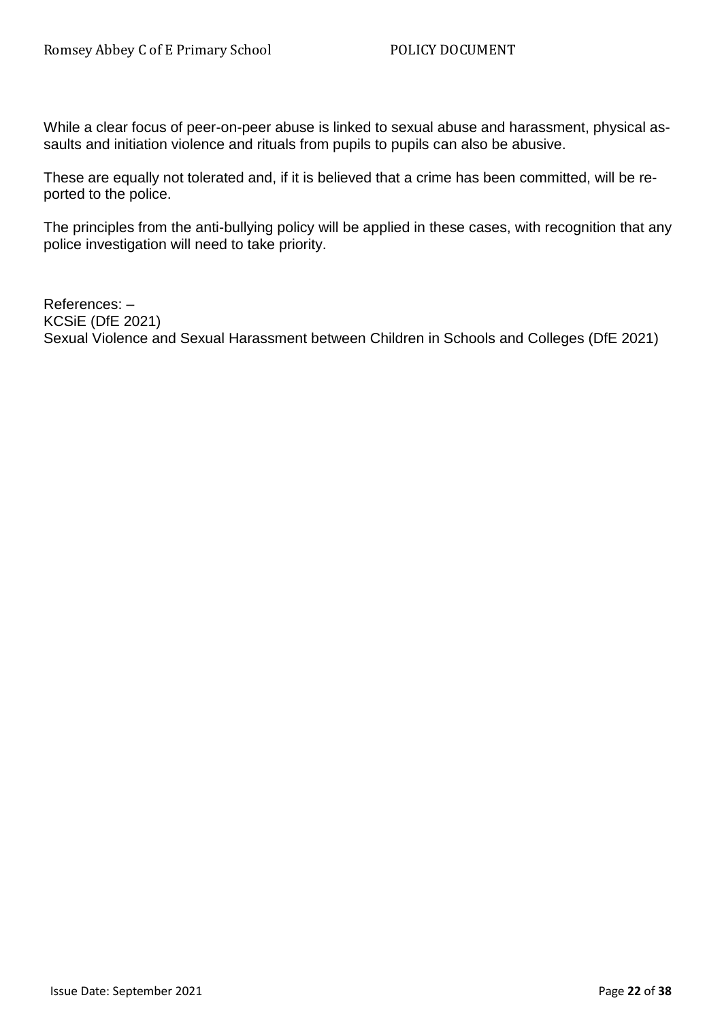While a clear focus of peer-on-peer abuse is linked to sexual abuse and harassment, physical assaults and initiation violence and rituals from pupils to pupils can also be abusive.

These are equally not tolerated and, if it is believed that a crime has been committed, will be reported to the police.

The principles from the anti-bullying policy will be applied in these cases, with recognition that any police investigation will need to take priority.

References: – KCSiE (DfE 2021) Sexual Violence and Sexual Harassment between Children in Schools and Colleges (DfE 2021)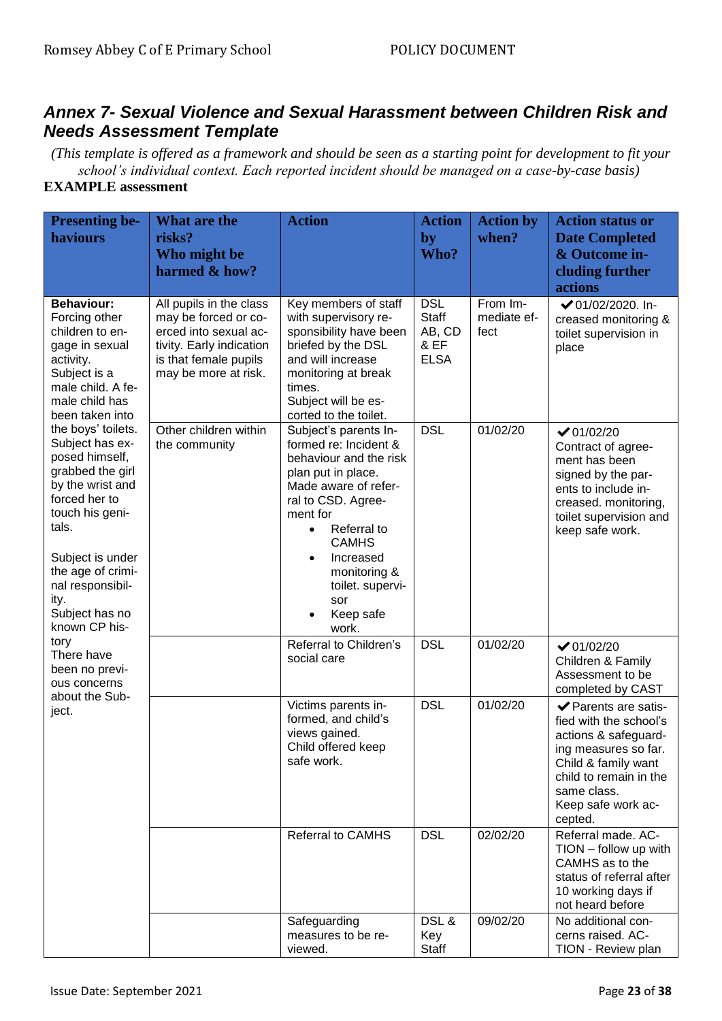## *Annex 7- Sexual Violence and Sexual Harassment between Children Risk and Needs Assessment Template*

*(This template is offered as a framework and should be seen as a starting point for development to fit your school's individual context. Each reported incident should be managed on a case-by-case basis)* **EXAMPLE assessment**

| <b>Presenting be-</b><br>haviours                                                                                                                                                                                                                    | <b>What are the</b><br>risks?<br>Who might be<br>harmed & how?                                                                                        | <b>Action</b>                                                                                                                                                                                                                                                                                   | <b>Action</b><br>by<br>Who?                                 | <b>Action by</b><br>when?       | <b>Action status or</b><br><b>Date Completed</b><br>& Outcome in-<br>cluding further<br>actions                                                                                                                     |
|------------------------------------------------------------------------------------------------------------------------------------------------------------------------------------------------------------------------------------------------------|-------------------------------------------------------------------------------------------------------------------------------------------------------|-------------------------------------------------------------------------------------------------------------------------------------------------------------------------------------------------------------------------------------------------------------------------------------------------|-------------------------------------------------------------|---------------------------------|---------------------------------------------------------------------------------------------------------------------------------------------------------------------------------------------------------------------|
| <b>Behaviour:</b><br>Forcing other<br>children to en-<br>gage in sexual<br>activity.<br>Subject is a<br>male child. A fe-<br>male child has<br>been taken into                                                                                       | All pupils in the class<br>may be forced or co-<br>erced into sexual ac-<br>tivity. Early indication<br>is that female pupils<br>may be more at risk. | Key members of staff<br>with supervisory re-<br>sponsibility have been<br>briefed by the DSL<br>and will increase<br>monitoring at break<br>times.<br>Subject will be es-<br>corted to the toilet.                                                                                              | <b>DSL</b><br><b>Staff</b><br>AB, CD<br>& EF<br><b>ELSA</b> | From Im-<br>mediate ef-<br>fect | ◆ 01/02/2020. In-<br>creased monitoring &<br>toilet supervision in<br>place                                                                                                                                         |
| the boys' toilets.<br>Subject has ex-<br>posed himself,<br>grabbed the girl<br>by the wrist and<br>forced her to<br>touch his geni-<br>tals.<br>Subject is under<br>the age of crimi-<br>nal responsibil-<br>ity.<br>Subject has no<br>known CP his- | Other children within<br>the community                                                                                                                | Subject's parents In-<br>formed re: Incident &<br>behaviour and the risk<br>plan put in place.<br>Made aware of refer-<br>ral to CSD. Agree-<br>ment for<br>Referral to<br>$\bullet$<br><b>CAMHS</b><br>Increased<br>$\bullet$<br>monitoring &<br>toilet. supervi-<br>sor<br>Keep safe<br>work. | <b>DSL</b>                                                  | 01/02/20                        | $\times$ 01/02/20<br>Contract of agree-<br>ment has been<br>signed by the par-<br>ents to include in-<br>creased. monitoring,<br>toilet supervision and<br>keep safe work.                                          |
| tory<br>There have<br>been no previ-<br>ous concerns                                                                                                                                                                                                 |                                                                                                                                                       | Referral to Children's<br>social care                                                                                                                                                                                                                                                           | <b>DSL</b>                                                  | 01/02/20                        | $\times$ 01/02/20<br>Children & Family<br>Assessment to be<br>completed by CAST                                                                                                                                     |
| about the Sub-<br>ject.                                                                                                                                                                                                                              |                                                                                                                                                       | Victims parents in-<br>formed, and child's<br>views gained.<br>Child offered keep<br>safe work.                                                                                                                                                                                                 | <b>DSL</b>                                                  | 01/02/20                        | $\blacktriangleright$ Parents are satis-<br>fied with the school's<br>actions & safeguard-<br>ing measures so far.<br>Child & family want<br>child to remain in the<br>same class.<br>Keep safe work ac-<br>cepted. |
|                                                                                                                                                                                                                                                      |                                                                                                                                                       | <b>Referral to CAMHS</b>                                                                                                                                                                                                                                                                        | <b>DSL</b>                                                  | 02/02/20                        | Referral made. AC-<br>TION – follow up with<br>CAMHS as to the<br>status of referral after<br>10 working days if<br>not heard before                                                                                |
|                                                                                                                                                                                                                                                      |                                                                                                                                                       | Safeguarding<br>measures to be re-<br>viewed.                                                                                                                                                                                                                                                   | DSL &<br>Key<br>Staff                                       | 09/02/20                        | No additional con-<br>cerns raised. AC-<br>TION - Review plan                                                                                                                                                       |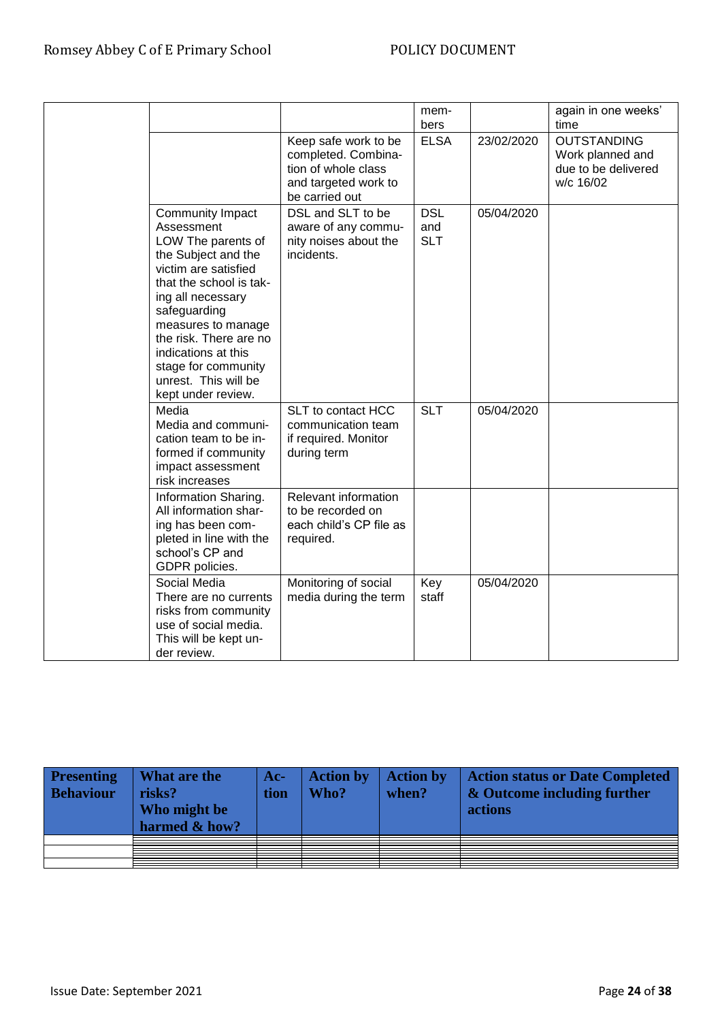|  |                                                                                                                                    |                                                                                                                                                                                                                                                                                                                 |                                                                                                              | mem-<br>bers                    |            | again in one weeks'<br>time                                                |
|--|------------------------------------------------------------------------------------------------------------------------------------|-----------------------------------------------------------------------------------------------------------------------------------------------------------------------------------------------------------------------------------------------------------------------------------------------------------------|--------------------------------------------------------------------------------------------------------------|---------------------------------|------------|----------------------------------------------------------------------------|
|  |                                                                                                                                    |                                                                                                                                                                                                                                                                                                                 | Keep safe work to be<br>completed. Combina-<br>tion of whole class<br>and targeted work to<br>be carried out | <b>ELSA</b>                     | 23/02/2020 | <b>OUTSTANDING</b><br>Work planned and<br>due to be delivered<br>w/c 16/02 |
|  |                                                                                                                                    | Community Impact<br>Assessment<br>LOW The parents of<br>the Subject and the<br>victim are satisfied<br>that the school is tak-<br>ing all necessary<br>safeguarding<br>measures to manage<br>the risk. There are no<br>indications at this<br>stage for community<br>unrest. This will be<br>kept under review. | DSL and SLT to be<br>aware of any commu-<br>nity noises about the<br>incidents.                              | <b>DSL</b><br>and<br><b>SLT</b> | 05/04/2020 |                                                                            |
|  | Media<br>Media and communi-<br>cation team to be in-<br>formed if community<br>impact assessment<br>risk increases                 | SLT to contact HCC<br>communication team<br>if required. Monitor<br>during term                                                                                                                                                                                                                                 | <b>SLT</b>                                                                                                   | 05/04/2020                      |            |                                                                            |
|  | Information Sharing.<br>All information shar-<br>ing has been com-<br>pleted in line with the<br>school's CP and<br>GDPR policies. | Relevant information<br>to be recorded on<br>each child's CP file as<br>required.                                                                                                                                                                                                                               |                                                                                                              |                                 |            |                                                                            |
|  |                                                                                                                                    | Social Media<br>There are no currents<br>risks from community<br>use of social media.<br>This will be kept un-<br>der review.                                                                                                                                                                                   | Monitoring of social<br>media during the term                                                                | Key<br>staff                    | 05/04/2020 |                                                                            |

| <b>Presenting</b><br><b>Behaviour</b> | What are the<br>risks?<br>Who might be<br>harmed & how? | $Ac-$<br>tion | <b>Action by</b><br>Who? | <b>Action by</b><br>when? | <b>Action status or Date Completed</b><br>& Outcome including further<br><b>actions</b> |
|---------------------------------------|---------------------------------------------------------|---------------|--------------------------|---------------------------|-----------------------------------------------------------------------------------------|
|                                       |                                                         |               |                          |                           |                                                                                         |
|                                       |                                                         |               |                          |                           |                                                                                         |
|                                       |                                                         |               |                          |                           |                                                                                         |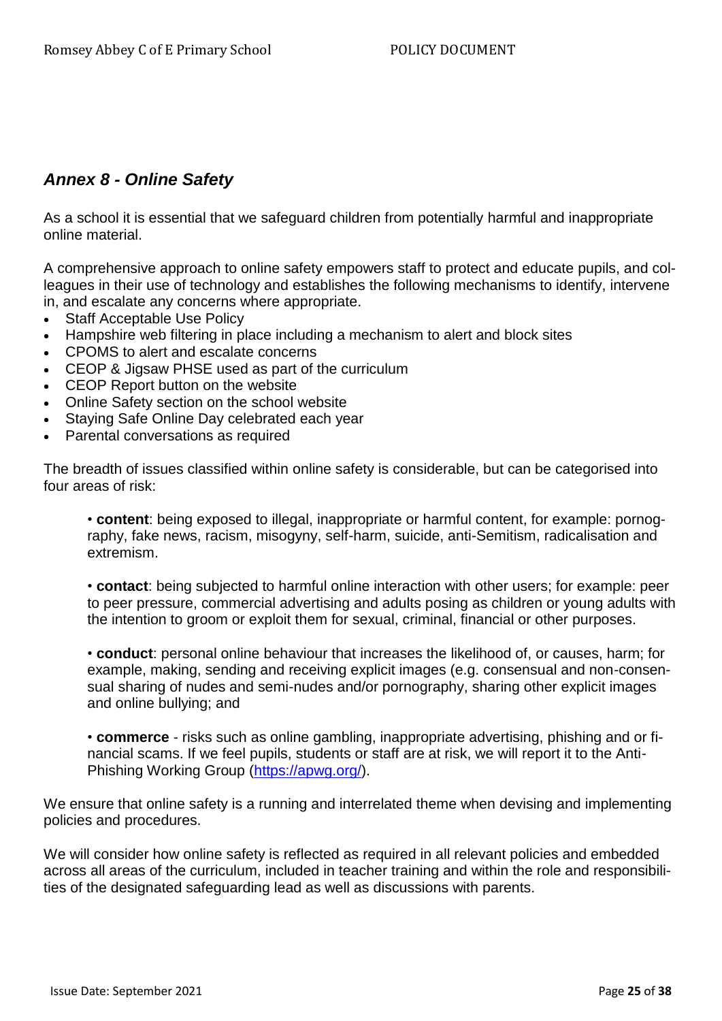# *Annex 8 - Online Safety*

As a school it is essential that we safeguard children from potentially harmful and inappropriate online material.

A comprehensive approach to online safety empowers staff to protect and educate pupils, and colleagues in their use of technology and establishes the following mechanisms to identify, intervene in, and escalate any concerns where appropriate.

- Staff Acceptable Use Policy
- Hampshire web filtering in place including a mechanism to alert and block sites
- CPOMS to alert and escalate concerns
- CEOP & Jigsaw PHSE used as part of the curriculum
- CEOP Report button on the website
- Online Safety section on the school website
- Staving Safe Online Day celebrated each year
- Parental conversations as required

The breadth of issues classified within online safety is considerable, but can be categorised into four areas of risk:

• **content**: being exposed to illegal, inappropriate or harmful content, for example: pornography, fake news, racism, misogyny, self-harm, suicide, anti-Semitism, radicalisation and extremism.

• **contact**: being subjected to harmful online interaction with other users; for example: peer to peer pressure, commercial advertising and adults posing as children or young adults with the intention to groom or exploit them for sexual, criminal, financial or other purposes.

• **conduct**: personal online behaviour that increases the likelihood of, or causes, harm; for example, making, sending and receiving explicit images (e.g. consensual and non-consensual sharing of nudes and semi-nudes and/or pornography, sharing other explicit images and online bullying; and

• **commerce** - risks such as online gambling, inappropriate advertising, phishing and or financial scams. If we feel pupils, students or staff are at risk, we will report it to the Anti-Phishing Working Group [\(https://apwg.org/\)](https://apwg.org/).

We ensure that online safety is a running and interrelated theme when devising and implementing policies and procedures.

We will consider how online safety is reflected as required in all relevant policies and embedded across all areas of the curriculum, included in teacher training and within the role and responsibilities of the designated safeguarding lead as well as discussions with parents.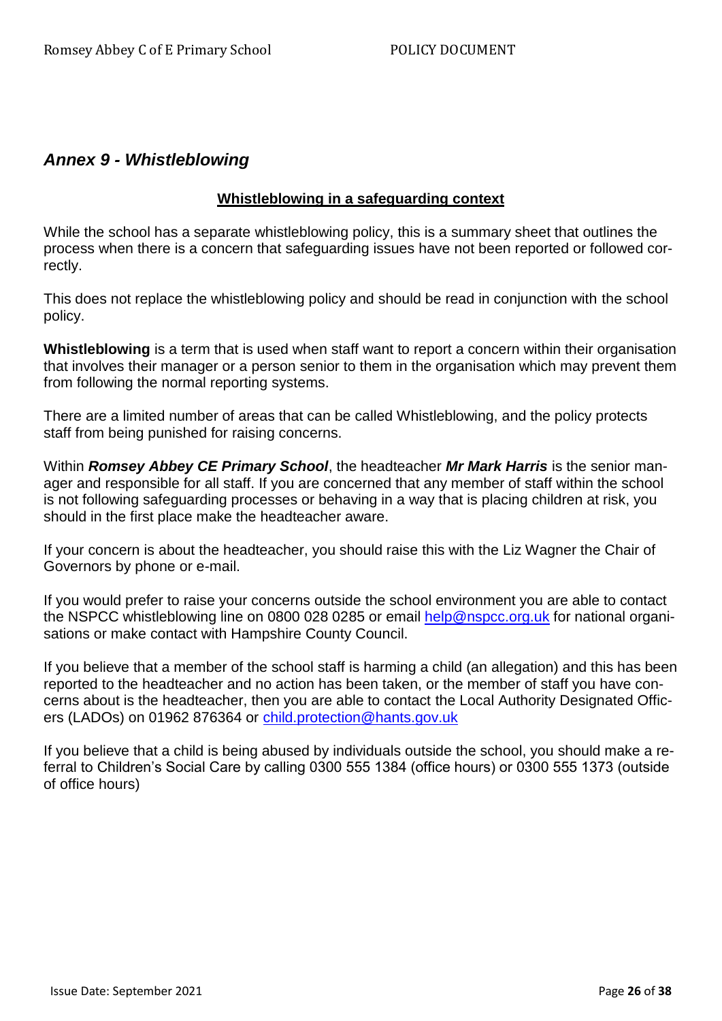## *Annex 9 - Whistleblowing*

## **Whistleblowing in a safeguarding context**

While the school has a separate whistleblowing policy, this is a summary sheet that outlines the process when there is a concern that safeguarding issues have not been reported or followed correctly.

This does not replace the whistleblowing policy and should be read in conjunction with the school policy.

**Whistleblowing** is a term that is used when staff want to report a concern within their organisation that involves their manager or a person senior to them in the organisation which may prevent them from following the normal reporting systems.

There are a limited number of areas that can be called Whistleblowing, and the policy protects staff from being punished for raising concerns.

Within *Romsey Abbey CE Primary School*, the headteacher *Mr Mark Harris* is the senior manager and responsible for all staff. If you are concerned that any member of staff within the school is not following safeguarding processes or behaving in a way that is placing children at risk, you should in the first place make the headteacher aware.

If your concern is about the headteacher, you should raise this with the Liz Wagner the Chair of Governors by phone or e-mail.

If you would prefer to raise your concerns outside the school environment you are able to contact the NSPCC whistleblowing line on 0800 028 0285 or email [help@nspcc.org.uk](mailto:help@nspcc.org.uk) for national organisations or make contact with Hampshire County Council.

If you believe that a member of the school staff is harming a child (an allegation) and this has been reported to the headteacher and no action has been taken, or the member of staff you have concerns about is the headteacher, then you are able to contact the Local Authority Designated Officers (LADOs) on 01962 876364 or [child.protection@hants.gov.uk](mailto:child.protection@hants.gov.uk)

If you believe that a child is being abused by individuals outside the school, you should make a referral to Children's Social Care by calling 0300 555 1384 (office hours) or 0300 555 1373 (outside of office hours)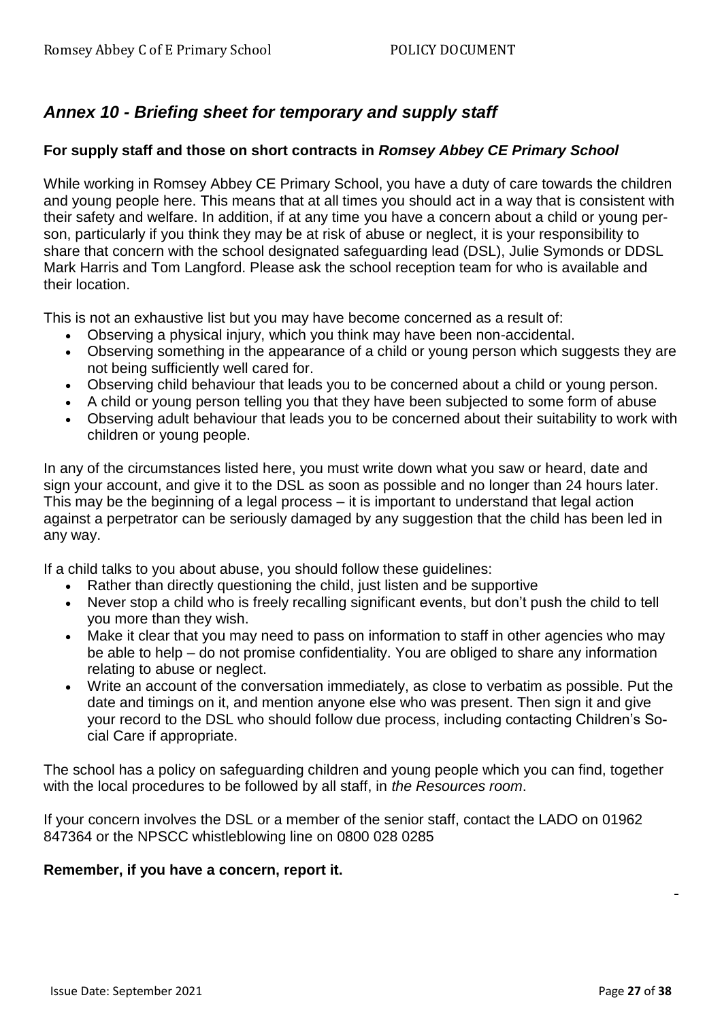# *Annex 10 - Briefing sheet for temporary and supply staff*

## **For supply staff and those on short contracts in** *Romsey Abbey CE Primary School*

While working in Romsey Abbey CE Primary School, you have a duty of care towards the children and young people here. This means that at all times you should act in a way that is consistent with their safety and welfare. In addition, if at any time you have a concern about a child or young person, particularly if you think they may be at risk of abuse or neglect, it is your responsibility to share that concern with the school designated safeguarding lead (DSL), Julie Symonds or DDSL Mark Harris and Tom Langford. Please ask the school reception team for who is available and their location.

This is not an exhaustive list but you may have become concerned as a result of:

- Observing a physical injury, which you think may have been non-accidental.
- Observing something in the appearance of a child or young person which suggests they are not being sufficiently well cared for.
- Observing child behaviour that leads you to be concerned about a child or young person.
- A child or young person telling you that they have been subjected to some form of abuse
- Observing adult behaviour that leads you to be concerned about their suitability to work with children or young people.

In any of the circumstances listed here, you must write down what you saw or heard, date and sign your account, and give it to the DSL as soon as possible and no longer than 24 hours later. This may be the beginning of a legal process – it is important to understand that legal action against a perpetrator can be seriously damaged by any suggestion that the child has been led in any way.

If a child talks to you about abuse, you should follow these guidelines:

- Rather than directly questioning the child, just listen and be supportive
- Never stop a child who is freely recalling significant events, but don't push the child to tell you more than they wish.
- Make it clear that you may need to pass on information to staff in other agencies who may be able to help – do not promise confidentiality. You are obliged to share any information relating to abuse or neglect.
- Write an account of the conversation immediately, as close to verbatim as possible. Put the date and timings on it, and mention anyone else who was present. Then sign it and give your record to the DSL who should follow due process, including contacting Children's Social Care if appropriate.

The school has a policy on safeguarding children and young people which you can find, together with the local procedures to be followed by all staff, in *the Resources room*.

If your concern involves the DSL or a member of the senior staff, contact the LADO on 01962 847364 or the NPSCC whistleblowing line on 0800 028 0285

#### **Remember, if you have a concern, report it.**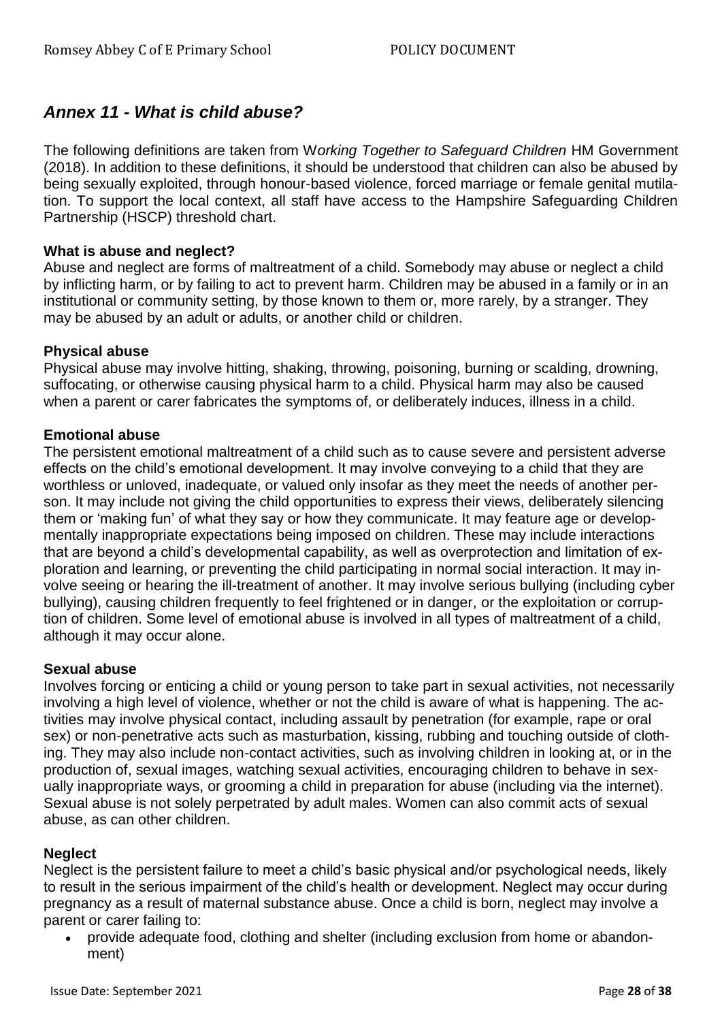# *Annex 11 - What is child abuse?*

The following definitions are taken from W*orking Together to Safeguard Children* HM Government (2018). In addition to these definitions, it should be understood that children can also be abused by being sexually exploited, through honour-based violence, forced marriage or female genital mutilation. To support the local context, all staff have access to the Hampshire Safeguarding Children Partnership (HSCP) threshold chart.

#### **What is abuse and neglect?**

Abuse and neglect are forms of maltreatment of a child. Somebody may abuse or neglect a child by inflicting harm, or by failing to act to prevent harm. Children may be abused in a family or in an institutional or community setting, by those known to them or, more rarely, by a stranger. They may be abused by an adult or adults, or another child or children.

#### **Physical abuse**

Physical abuse may involve hitting, shaking, throwing, poisoning, burning or scalding, drowning, suffocating, or otherwise causing physical harm to a child. Physical harm may also be caused when a parent or carer fabricates the symptoms of, or deliberately induces, illness in a child.

#### **Emotional abuse**

The persistent emotional maltreatment of a child such as to cause severe and persistent adverse effects on the child's emotional development. It may involve conveying to a child that they are worthless or unloved, inadequate, or valued only insofar as they meet the needs of another person. It may include not giving the child opportunities to express their views, deliberately silencing them or 'making fun' of what they say or how they communicate. It may feature age or developmentally inappropriate expectations being imposed on children. These may include interactions that are beyond a child's developmental capability, as well as overprotection and limitation of exploration and learning, or preventing the child participating in normal social interaction. It may involve seeing or hearing the ill-treatment of another. It may involve serious bullying (including cyber bullying), causing children frequently to feel frightened or in danger, or the exploitation or corruption of children. Some level of emotional abuse is involved in all types of maltreatment of a child, although it may occur alone.

#### **Sexual abuse**

Involves forcing or enticing a child or young person to take part in sexual activities, not necessarily involving a high level of violence, whether or not the child is aware of what is happening. The activities may involve physical contact, including assault by penetration (for example, rape or oral sex) or non-penetrative acts such as masturbation, kissing, rubbing and touching outside of clothing. They may also include non-contact activities, such as involving children in looking at, or in the production of, sexual images, watching sexual activities, encouraging children to behave in sexually inappropriate ways, or grooming a child in preparation for abuse (including via the internet). Sexual abuse is not solely perpetrated by adult males. Women can also commit acts of sexual abuse, as can other children.

#### **Neglect**

Neglect is the persistent failure to meet a child's basic physical and/or psychological needs, likely to result in the serious impairment of the child's health or development. Neglect may occur during pregnancy as a result of maternal substance abuse. Once a child is born, neglect may involve a parent or carer failing to:

• provide adequate food, clothing and shelter (including exclusion from home or abandonment)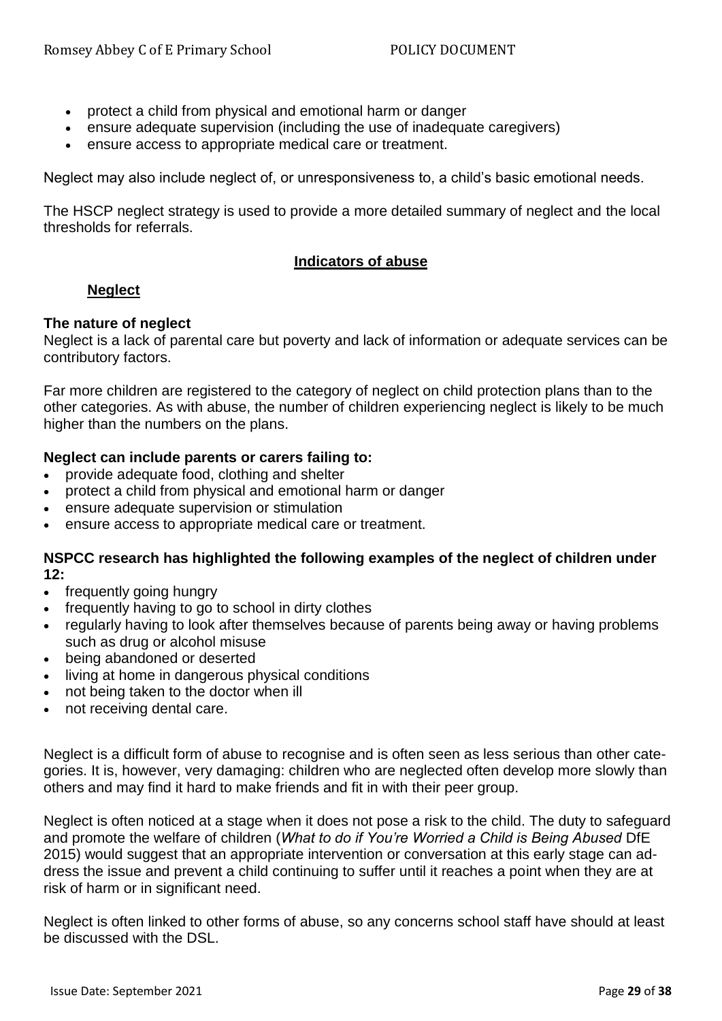- protect a child from physical and emotional harm or danger
- ensure adequate supervision (including the use of inadequate caregivers)
- ensure access to appropriate medical care or treatment.

Neglect may also include neglect of, or unresponsiveness to, a child's basic emotional needs.

The HSCP neglect strategy is used to provide a more detailed summary of neglect and the local thresholds for referrals.

## **Indicators of abuse**

## **Neglect**

#### **The nature of neglect**

Neglect is a lack of parental care but poverty and lack of information or adequate services can be contributory factors.

Far more children are registered to the category of neglect on child protection plans than to the other categories. As with abuse, the number of children experiencing neglect is likely to be much higher than the numbers on the plans.

## **Neglect can include parents or carers failing to:**

- provide adequate food, clothing and shelter
- protect a child from physical and emotional harm or danger
- ensure adequate supervision or stimulation
- ensure access to appropriate medical care or treatment.

#### **NSPCC research has highlighted the following examples of the neglect of children under 12:**

- frequently going hungry
- frequently having to go to school in dirty clothes
- regularly having to look after themselves because of parents being away or having problems such as drug or alcohol misuse
- being abandoned or deserted
- living at home in dangerous physical conditions
- not being taken to the doctor when ill
- not receiving dental care.

Neglect is a difficult form of abuse to recognise and is often seen as less serious than other categories. It is, however, very damaging: children who are neglected often develop more slowly than others and may find it hard to make friends and fit in with their peer group.

Neglect is often noticed at a stage when it does not pose a risk to the child. The duty to safeguard and promote the welfare of children (*What to do if You're Worried a Child is Being Abused* DfE 2015) would suggest that an appropriate intervention or conversation at this early stage can address the issue and prevent a child continuing to suffer until it reaches a point when they are at risk of harm or in significant need.

Neglect is often linked to other forms of abuse, so any concerns school staff have should at least be discussed with the DSL.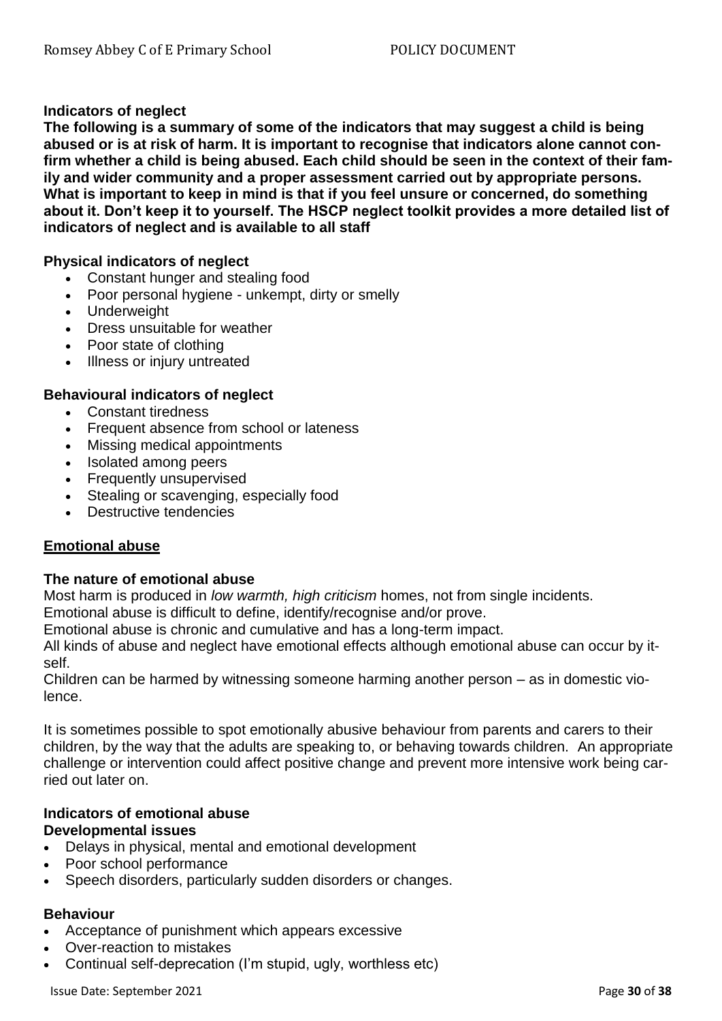#### **Indicators of neglect**

**The following is a summary of some of the indicators that may suggest a child is being abused or is at risk of harm. It is important to recognise that indicators alone cannot confirm whether a child is being abused. Each child should be seen in the context of their family and wider community and a proper assessment carried out by appropriate persons. What is important to keep in mind is that if you feel unsure or concerned, do something about it. Don't keep it to yourself. The HSCP neglect toolkit provides a more detailed list of indicators of neglect and is available to all staff**

#### **Physical indicators of neglect**

- Constant hunger and stealing food
- Poor personal hygiene unkempt, dirty or smelly
- Underweight
- Dress unsuitable for weather
- Poor state of clothing
- Illness or injury untreated

#### **Behavioural indicators of neglect**

- Constant tiredness
- Frequent absence from school or lateness
- Missing medical appointments
- Isolated among peers
- Frequently unsupervised
- Stealing or scavenging, especially food
- Destructive tendencies

#### **Emotional abuse**

#### **The nature of emotional abuse**

Most harm is produced in *low warmth, high criticism* homes, not from single incidents.

Emotional abuse is difficult to define, identify/recognise and/or prove.

Emotional abuse is chronic and cumulative and has a long-term impact.

All kinds of abuse and neglect have emotional effects although emotional abuse can occur by itself.

Children can be harmed by witnessing someone harming another person – as in domestic violence.

It is sometimes possible to spot emotionally abusive behaviour from parents and carers to their children, by the way that the adults are speaking to, or behaving towards children. An appropriate challenge or intervention could affect positive change and prevent more intensive work being carried out later on.

#### **Indicators of emotional abuse Developmental issues**

## • Delays in physical, mental and emotional development

- Poor school performance
- Speech disorders, particularly sudden disorders or changes.

## **Behaviour**

- Acceptance of punishment which appears excessive
- Over-reaction to mistakes
- Continual self-deprecation (I'm stupid, ugly, worthless etc)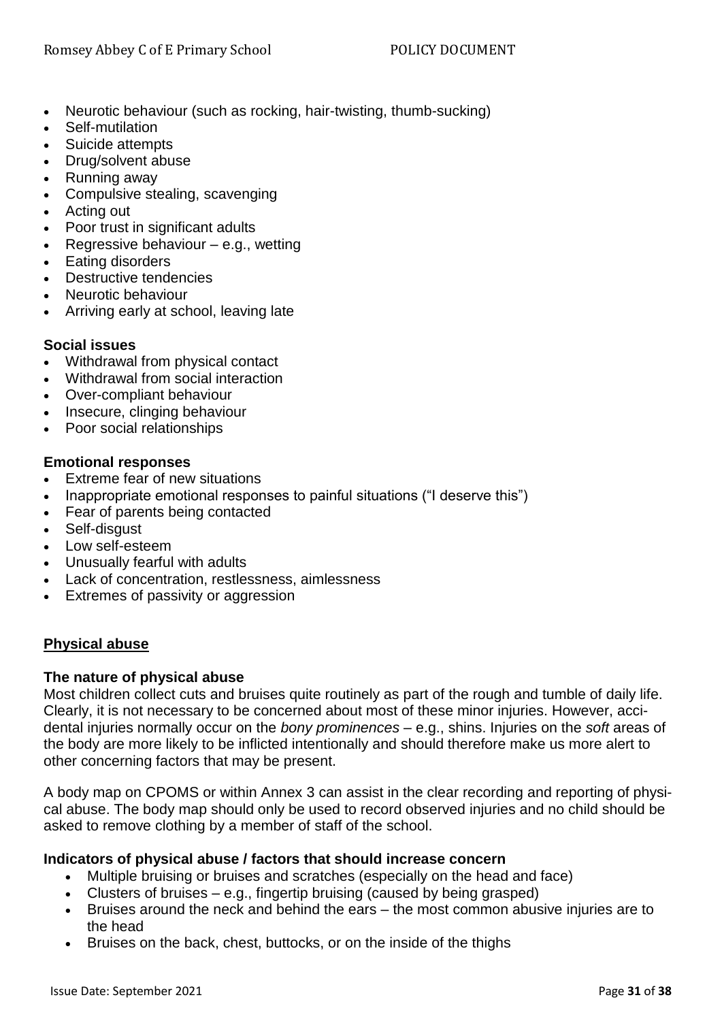- Neurotic behaviour (such as rocking, hair-twisting, thumb-sucking)
- Self-mutilation
- Suicide attempts
- Drug/solvent abuse
- Running away
- Compulsive stealing, scavenging
- Acting out
- Poor trust in significant adults
- Regressive behaviour  $-$  e.g., wetting
- Eating disorders
- Destructive tendencies
- Neurotic behaviour
- Arriving early at school, leaving late

#### **Social issues**

- Withdrawal from physical contact
- Withdrawal from social interaction
- Over-compliant behaviour
- Insecure, clinging behaviour
- Poor social relationships

## **Emotional responses**

- Extreme fear of new situations
- Inappropriate emotional responses to painful situations ("I deserve this")
- Fear of parents being contacted
- Self-disgust
- Low self-esteem
- Unusually fearful with adults
- Lack of concentration, restlessness, aimlessness
- Extremes of passivity or aggression

## **Physical abuse**

#### **The nature of physical abuse**

Most children collect cuts and bruises quite routinely as part of the rough and tumble of daily life. Clearly, it is not necessary to be concerned about most of these minor injuries. However, accidental injuries normally occur on the *bony prominences* – e.g., shins. Injuries on the *soft* areas of the body are more likely to be inflicted intentionally and should therefore make us more alert to other concerning factors that may be present.

A body map on CPOMS or within Annex 3 can assist in the clear recording and reporting of physical abuse. The body map should only be used to record observed injuries and no child should be asked to remove clothing by a member of staff of the school.

#### **Indicators of physical abuse / factors that should increase concern**

- Multiple bruising or bruises and scratches (especially on the head and face)
- Clusters of bruises  $-$  e.g., fingertip bruising (caused by being grasped)
- Bruises around the neck and behind the ears the most common abusive injuries are to the head
- Bruises on the back, chest, buttocks, or on the inside of the thighs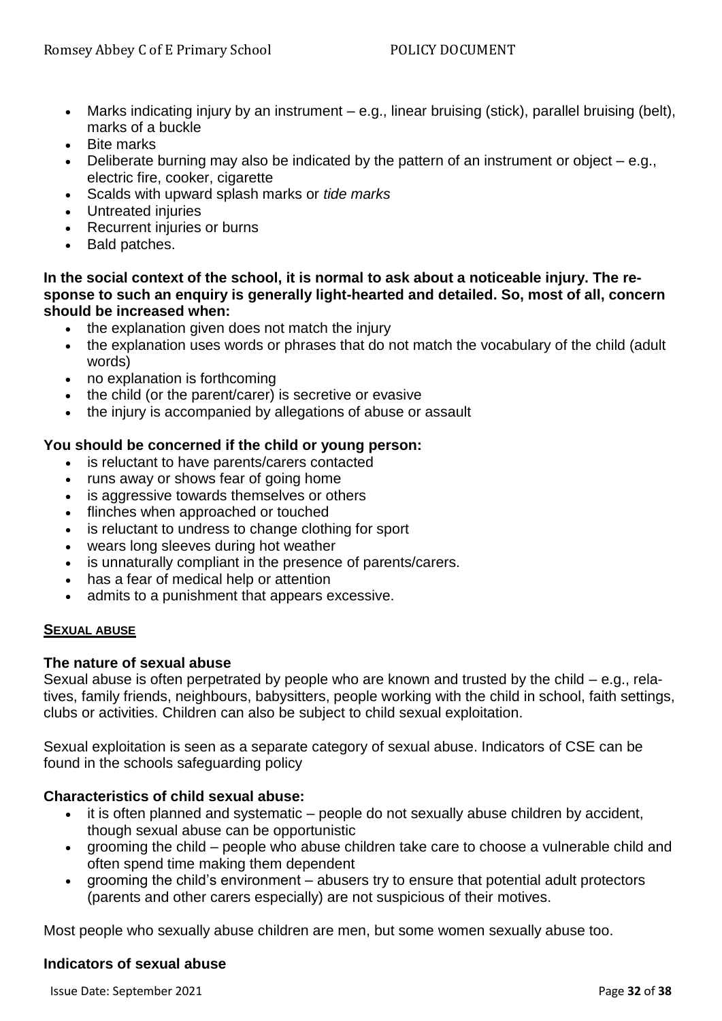- Marks indicating injury by an instrument e.g., linear bruising (stick), parallel bruising (belt), marks of a buckle
- Bite marks
- Deliberate burning may also be indicated by the pattern of an instrument or object e.g., electric fire, cooker, cigarette
- Scalds with upward splash marks or *tide marks*
- Untreated injuries
- Recurrent injuries or burns
- Bald patches.

**In the social context of the school, it is normal to ask about a noticeable injury. The response to such an enquiry is generally light-hearted and detailed. So, most of all, concern should be increased when:**

- the explanation given does not match the injury
- the explanation uses words or phrases that do not match the vocabulary of the child (adult words)
- no explanation is forthcoming
- the child (or the parent/carer) is secretive or evasive
- the injury is accompanied by allegations of abuse or assault

#### **You should be concerned if the child or young person:**

- is reluctant to have parents/carers contacted
- runs away or shows fear of going home
- is aggressive towards themselves or others
- flinches when approached or touched
- is reluctant to undress to change clothing for sport
- wears long sleeves during hot weather
- is unnaturally compliant in the presence of parents/carers.
- has a fear of medical help or attention
- admits to a punishment that appears excessive.

#### **SEXUAL ABUSE**

#### **The nature of sexual abuse**

Sexual abuse is often perpetrated by people who are known and trusted by the child – e.g., relatives, family friends, neighbours, babysitters, people working with the child in school, faith settings, clubs or activities. Children can also be subject to child sexual exploitation.

Sexual exploitation is seen as a separate category of sexual abuse. Indicators of CSE can be found in the schools safeguarding policy

## **Characteristics of child sexual abuse:**

- it is often planned and systematic people do not sexually abuse children by accident, though sexual abuse can be opportunistic
- grooming the child people who abuse children take care to choose a vulnerable child and often spend time making them dependent
- grooming the child's environment abusers try to ensure that potential adult protectors (parents and other carers especially) are not suspicious of their motives.

Most people who sexually abuse children are men, but some women sexually abuse too.

#### **Indicators of sexual abuse**

Issue Date: September 2021 **Page 32 of 38** and **Page 32** of **38** and **Page 32** of **38**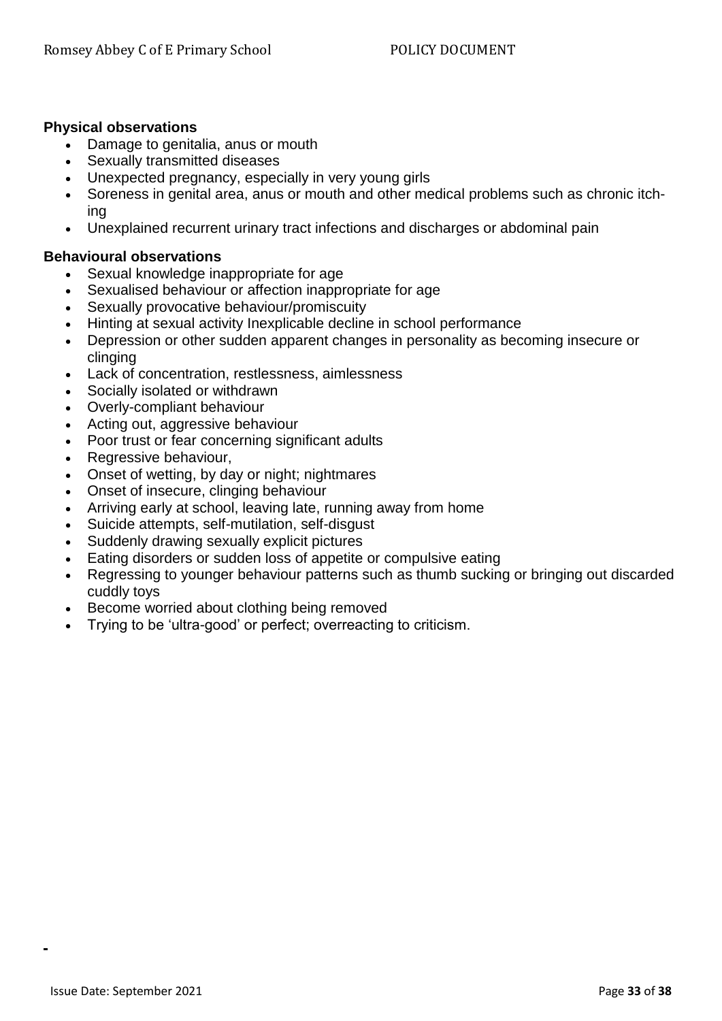## **Physical observations**

- Damage to genitalia, anus or mouth
- Sexually transmitted diseases
- Unexpected pregnancy, especially in very young girls
- Soreness in genital area, anus or mouth and other medical problems such as chronic itching
- Unexplained recurrent urinary tract infections and discharges or abdominal pain

## **Behavioural observations**

- Sexual knowledge inappropriate for age
- Sexualised behaviour or affection inappropriate for age
- Sexually provocative behaviour/promiscuity
- Hinting at sexual activity Inexplicable decline in school performance
- Depression or other sudden apparent changes in personality as becoming insecure or clinging
- Lack of concentration, restlessness, aimlessness
- Socially isolated or withdrawn
- Overly-compliant behaviour
- Acting out, aggressive behaviour
- Poor trust or fear concerning significant adults
- Regressive behaviour,
- Onset of wetting, by day or night; nightmares
- Onset of insecure, clinging behaviour
- Arriving early at school, leaving late, running away from home
- Suicide attempts, self-mutilation, self-disgust
- Suddenly drawing sexually explicit pictures
- Eating disorders or sudden loss of appetite or compulsive eating
- Regressing to younger behaviour patterns such as thumb sucking or bringing out discarded cuddly toys
- Become worried about clothing being removed
- Trying to be 'ultra-good' or perfect; overreacting to criticism.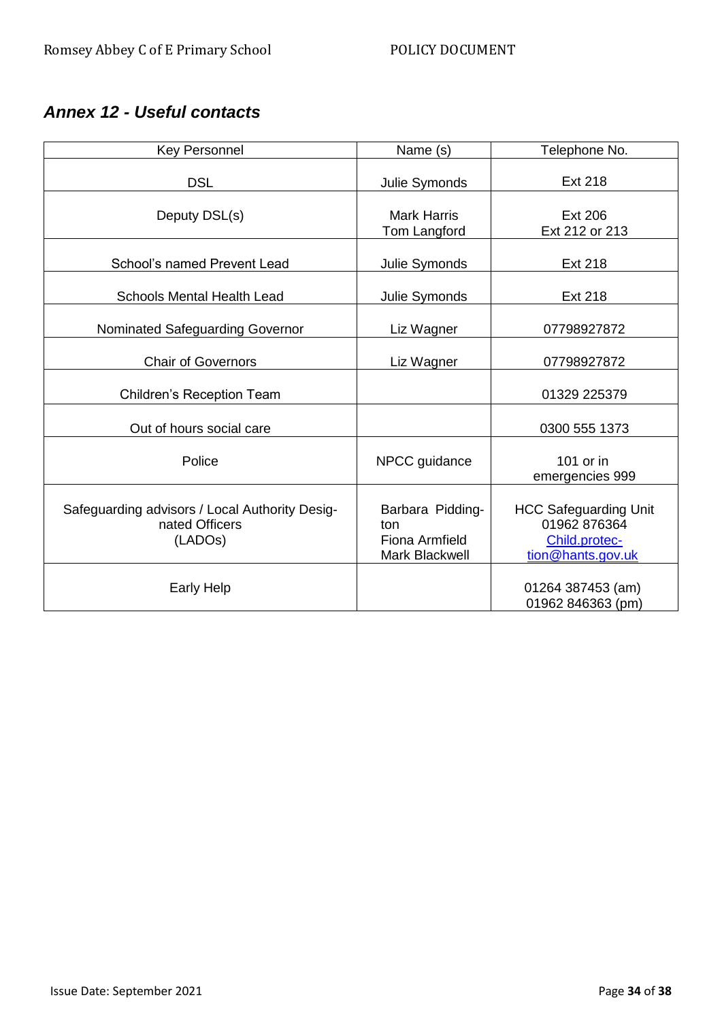# *Annex 12 - Useful contacts*

| <b>Key Personnel</b>                                                                     | Name (s)                                                    | Telephone No.                                                                      |
|------------------------------------------------------------------------------------------|-------------------------------------------------------------|------------------------------------------------------------------------------------|
| <b>DSL</b>                                                                               | Julie Symonds                                               | <b>Ext 218</b>                                                                     |
| Deputy DSL(s)                                                                            | <b>Mark Harris</b><br>Tom Langford                          | <b>Ext 206</b><br>Ext 212 or 213                                                   |
| School's named Prevent Lead                                                              | Julie Symonds                                               | <b>Ext 218</b>                                                                     |
| Schools Mental Health Lead                                                               | Julie Symonds                                               | <b>Ext 218</b>                                                                     |
| Nominated Safeguarding Governor                                                          | Liz Wagner                                                  | 07798927872                                                                        |
| <b>Chair of Governors</b>                                                                | Liz Wagner                                                  | 07798927872                                                                        |
| Children's Reception Team                                                                |                                                             | 01329 225379                                                                       |
| Out of hours social care                                                                 |                                                             | 0300 555 1373                                                                      |
| Police                                                                                   | NPCC guidance                                               | 101 or in<br>emergencies 999                                                       |
| Safeguarding advisors / Local Authority Desig-<br>nated Officers<br>(LADO <sub>s</sub> ) | Barbara Pidding-<br>ton<br>Fiona Armfield<br>Mark Blackwell | <b>HCC Safeguarding Unit</b><br>01962 876364<br>Child.protec-<br>tion@hants.gov.uk |
| <b>Early Help</b>                                                                        |                                                             | 01264 387453 (am)<br>01962 846363 (pm)                                             |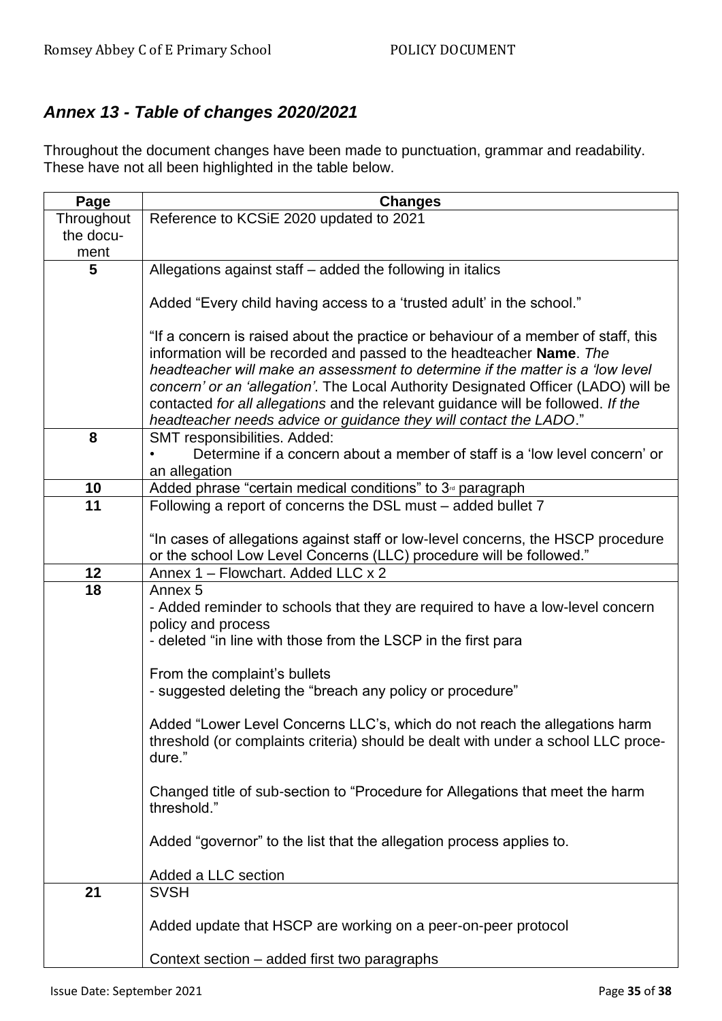# *Annex 13 - Table of changes 2020/2021*

Throughout the document changes have been made to punctuation, grammar and readability. These have not all been highlighted in the table below.

| Page       | <b>Changes</b>                                                                                                                                                                                                                                                                                                                                                                                                                                                                              |
|------------|---------------------------------------------------------------------------------------------------------------------------------------------------------------------------------------------------------------------------------------------------------------------------------------------------------------------------------------------------------------------------------------------------------------------------------------------------------------------------------------------|
| Throughout | Reference to KCSiE 2020 updated to 2021                                                                                                                                                                                                                                                                                                                                                                                                                                                     |
| the docu-  |                                                                                                                                                                                                                                                                                                                                                                                                                                                                                             |
| ment       |                                                                                                                                                                                                                                                                                                                                                                                                                                                                                             |
| 5          | Allegations against staff - added the following in italics                                                                                                                                                                                                                                                                                                                                                                                                                                  |
|            | Added "Every child having access to a 'trusted adult' in the school."                                                                                                                                                                                                                                                                                                                                                                                                                       |
|            | "If a concern is raised about the practice or behaviour of a member of staff, this<br>information will be recorded and passed to the headteacher Name. The<br>headteacher will make an assessment to determine if the matter is a 'low level<br>concern' or an 'allegation'. The Local Authority Designated Officer (LADO) will be<br>contacted for all allegations and the relevant guidance will be followed. If the<br>headteacher needs advice or guidance they will contact the LADO." |
| 8          | SMT responsibilities. Added:<br>Determine if a concern about a member of staff is a 'low level concern' or<br>an allegation                                                                                                                                                                                                                                                                                                                                                                 |
| 10         | Added phrase "certain medical conditions" to 3 <sup>®</sup> paragraph                                                                                                                                                                                                                                                                                                                                                                                                                       |
| 11         | Following a report of concerns the DSL must – added bullet 7                                                                                                                                                                                                                                                                                                                                                                                                                                |
|            | "In cases of allegations against staff or low-level concerns, the HSCP procedure<br>or the school Low Level Concerns (LLC) procedure will be followed."                                                                                                                                                                                                                                                                                                                                     |
| 12         | Annex 1 - Flowchart. Added LLC x 2                                                                                                                                                                                                                                                                                                                                                                                                                                                          |
| 18         | Annex <sub>5</sub><br>- Added reminder to schools that they are required to have a low-level concern<br>policy and process<br>- deleted "in line with those from the LSCP in the first para                                                                                                                                                                                                                                                                                                 |
|            | From the complaint's bullets                                                                                                                                                                                                                                                                                                                                                                                                                                                                |
|            | - suggested deleting the "breach any policy or procedure"                                                                                                                                                                                                                                                                                                                                                                                                                                   |
|            | Added "Lower Level Concerns LLC's, which do not reach the allegations harm<br>threshold (or complaints criteria) should be dealt with under a school LLC proce-<br>dure."                                                                                                                                                                                                                                                                                                                   |
|            | Changed title of sub-section to "Procedure for Allegations that meet the harm<br>threshold."                                                                                                                                                                                                                                                                                                                                                                                                |
|            | Added "governor" to the list that the allegation process applies to.                                                                                                                                                                                                                                                                                                                                                                                                                        |
|            | Added a LLC section                                                                                                                                                                                                                                                                                                                                                                                                                                                                         |
| 21         | <b>SVSH</b>                                                                                                                                                                                                                                                                                                                                                                                                                                                                                 |
|            | Added update that HSCP are working on a peer-on-peer protocol                                                                                                                                                                                                                                                                                                                                                                                                                               |
|            | Context section - added first two paragraphs                                                                                                                                                                                                                                                                                                                                                                                                                                                |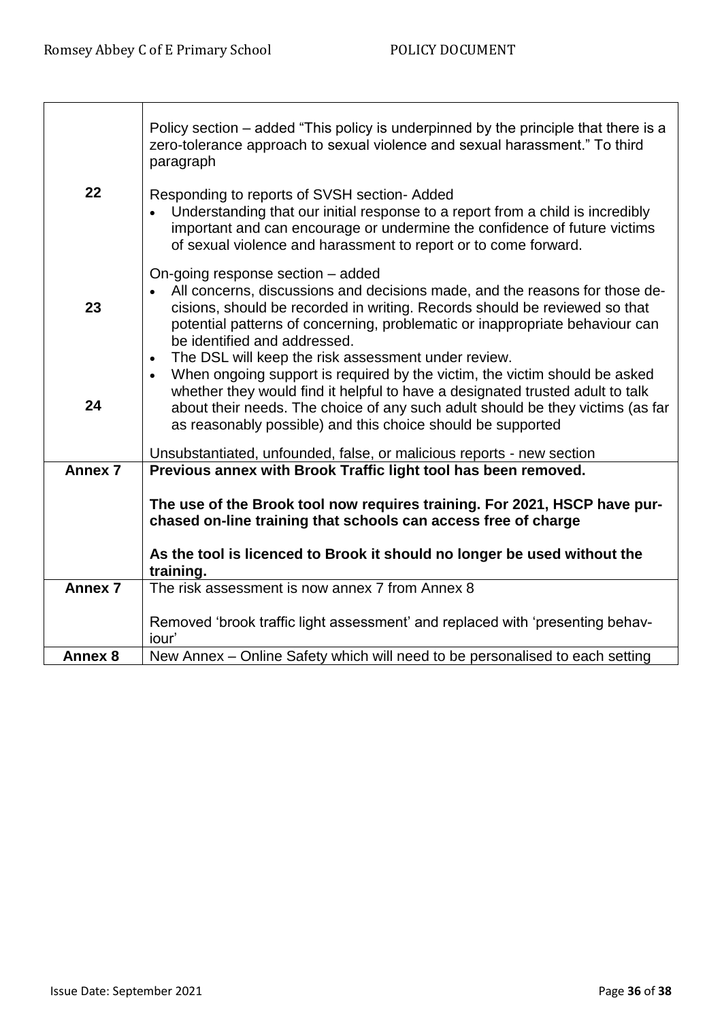|                | Policy section – added "This policy is underpinned by the principle that there is a<br>zero-tolerance approach to sexual violence and sexual harassment." To third<br>paragraph                                                                                                                                                                                                               |
|----------------|-----------------------------------------------------------------------------------------------------------------------------------------------------------------------------------------------------------------------------------------------------------------------------------------------------------------------------------------------------------------------------------------------|
| 22             | Responding to reports of SVSH section- Added<br>Understanding that our initial response to a report from a child is incredibly<br>important and can encourage or undermine the confidence of future victims<br>of sexual violence and harassment to report or to come forward.                                                                                                                |
| 23             | On-going response section - added<br>All concerns, discussions and decisions made, and the reasons for those de-<br>cisions, should be recorded in writing. Records should be reviewed so that<br>potential patterns of concerning, problematic or inappropriate behaviour can<br>be identified and addressed.                                                                                |
| 24             | The DSL will keep the risk assessment under review.<br>$\bullet$<br>When ongoing support is required by the victim, the victim should be asked<br>$\bullet$<br>whether they would find it helpful to have a designated trusted adult to talk<br>about their needs. The choice of any such adult should be they victims (as far<br>as reasonably possible) and this choice should be supported |
|                | Unsubstantiated, unfounded, false, or malicious reports - new section                                                                                                                                                                                                                                                                                                                         |
| <b>Annex 7</b> | Previous annex with Brook Traffic light tool has been removed.                                                                                                                                                                                                                                                                                                                                |
|                | The use of the Brook tool now requires training. For 2021, HSCP have pur-<br>chased on-line training that schools can access free of charge                                                                                                                                                                                                                                                   |
|                | As the tool is licenced to Brook it should no longer be used without the<br>training.                                                                                                                                                                                                                                                                                                         |
| <b>Annex 7</b> | The risk assessment is now annex 7 from Annex 8                                                                                                                                                                                                                                                                                                                                               |
|                | Removed 'brook traffic light assessment' and replaced with 'presenting behav-<br>jour'                                                                                                                                                                                                                                                                                                        |
| <b>Annex 8</b> | New Annex - Online Safety which will need to be personalised to each setting                                                                                                                                                                                                                                                                                                                  |